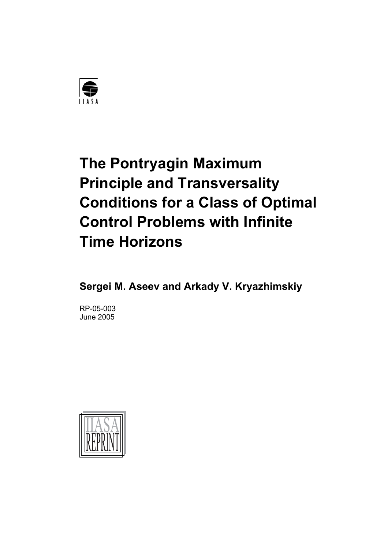

# **The Pontryagin Maximum Principle and Transversality Conditions for a Class of Optimal Control Problems with Infinite Time Horizons**

**Sergei M. Aseev and Arkady V. Kryazhimskiy** 

RP-05-003 June 2005

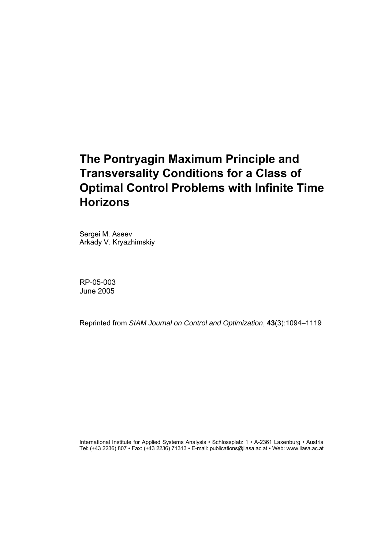## **The Pontryagin Maximum Principle and Transversality Conditions for a Class of Optimal Control Problems with Infinite Time Horizons**

Sergei M. Aseev Arkady V. Kryazhimskiy

RP-05-003 June 2005

Reprinted from *SIAM Journal on Control and Optimization*, **43**(3):1094–1119

International Institute for Applied Systems Analysis • Schlossplatz 1 • A-2361 Laxenburg • Austria Tel: (+43 2236) 807 • Fax: (+43 2236) 71313 • E-mail: publications@iiasa.ac.at • Web: www.iiasa.ac.at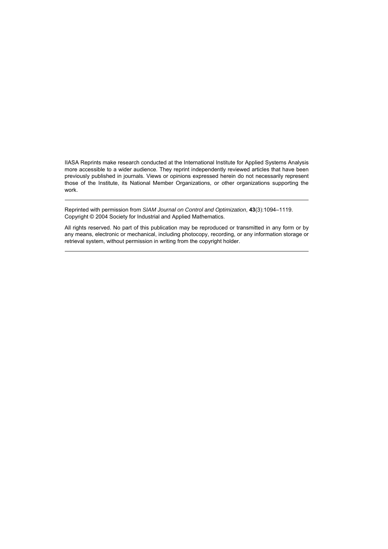IIASA Reprints make research conducted at the International Institute for Applied Systems Analysis more accessible to a wider audience. They reprint independently reviewed articles that have been previously published in journals. Views or opinions expressed herein do not necessarily represent those of the Institute, its National Member Organizations, or other organizations supporting the work.

Reprinted with permission from *SIAM Journal on Control and Optimization*, **43**(3):1094–1119. Copyright © 2004 Society for Industrial and Applied Mathematics.

All rights reserved. No part of this publication may be reproduced or transmitted in any form or by any means, electronic or mechanical, including photocopy, recording, or any information storage or retrieval system, without permission in writing from the copyright holder.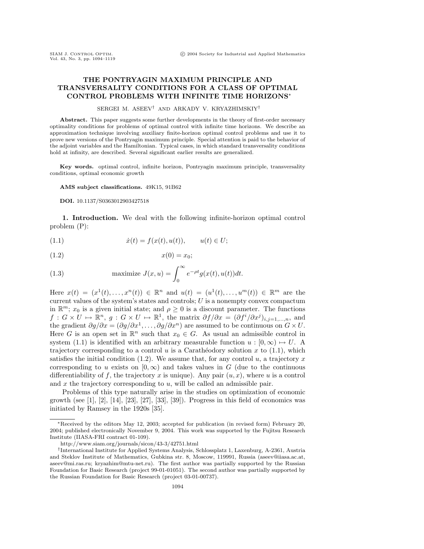#### **THE PONTRYAGIN MAXIMUM PRINCIPLE AND TRANSVERSALITY CONDITIONS FOR A CLASS OF OPTIMAL CONTROL PROBLEMS WITH INFINITE TIME HORIZONS**∗

#### SERGEI M. ASEEV† AND ARKADY V. KRYAZHIMSKIY†

**Abstract.** This paper suggests some further developments in the theory of first-order necessary optimality conditions for problems of optimal control with infinite time horizons. We describe an approximation technique involving auxiliary finite-horizon optimal control problems and use it to prove new versions of the Pontryagin maximum principle. Special attention is paid to the behavior of the adjoint variables and the Hamiltonian. Typical cases, in which standard transversality conditions hold at infinity, are described. Several significant earlier results are generalized.

**Key words.** optimal control, infinite horizon, Pontryagin maximum principle, transversality conditions, optimal economic growth

#### **AMS subject classifications.** 49K15, 91B62

#### **DOI.** 10.1137/S0363012903427518

**1. Introduction.** We deal with the following infinite-horizon optimal control problem (P):

(1.1) 
$$
\dot{x}(t) = f(x(t), u(t)), \qquad u(t) \in U;
$$

$$
(1.2) \t\t x(0) = x_0;
$$

(1.3) maximize 
$$
J(x, u) = \int_0^\infty e^{-\rho t} g(x(t), u(t)) dt
$$
.

Here  $x(t)=(x^1(t),...,x^n(t)) \in \mathbb{R}^n$  and  $u(t)=(u^1(t),...,u^m(t)) \in \mathbb{R}^m$  are the current values of the system's states and controls;  $U$  is a nonempty convex compactum in  $\mathbb{R}^m$ ;  $x_0$  is a given initial state; and  $\rho \geq 0$  is a discount parameter. The functions  $f: G \times U \mapsto \mathbb{R}^n$ ,  $g: G \times U \mapsto \mathbb{R}^1$ , the matrix  $\partial f / \partial x = (\partial f^i / \partial x^j)_{i,j=1,...,n}$ , and the gradient  $\partial g/\partial x = (\partial g/\partial x^1, \dots, \partial g/\partial x^n)$  are assumed to be continuous on  $G \times U$ . Here G is an open set in  $\mathbb{R}^n$  such that  $x_0 \in G$ . As usual an admissible control in system (1.1) is identified with an arbitrary measurable function  $u : [0, \infty) \mapsto U$ . A trajectory corresponding to a control u is a Carathéodory solution x to  $(1.1)$ , which satisfies the initial condition  $(1.2)$ . We assume that, for any control u, a trajectory x corresponding to u exists on  $[0,\infty)$  and takes values in G (due to the continuous differentiability of f, the trajectory x is unique). Any pair  $(u, x)$ , where u is a control and  $x$  the trajectory corresponding to  $u$ , will be called an admissible pair.

Problems of this type naturally arise in the studies on optimization of economic growth (see [1], [2], [14], [23], [27], [33], [39]). Progress in this field of economics was initiated by Ramsey in the 1920s [35].

<sup>∗</sup>Received by the editors May 12, 2003; accepted for publication (in revised form) February 20, 2004; published electronically November 9, 2004. This work was supported by the Fujitsu Research Institute (IIASA-FRI contract 01-109).

http://www.siam.org/journals/sicon/43-3/42751.html

<sup>†</sup>International Institute for Applied Systems Analysis, Schlossplatz 1, Laxenburg, A-2361, Austria and Steklov Institute of Mathematics, Gubkina str. 8, Moscow, 119991, Russia (aseev@iiasa.ac.at, aseev@mi.ras.ru; kryazhim@mtu-net.ru). The first author was partially supported by the Russian Foundation for Basic Research (project 99-01-01051). The second author was partially supported by the Russian Foundation for Basic Research (project 03-01-00737).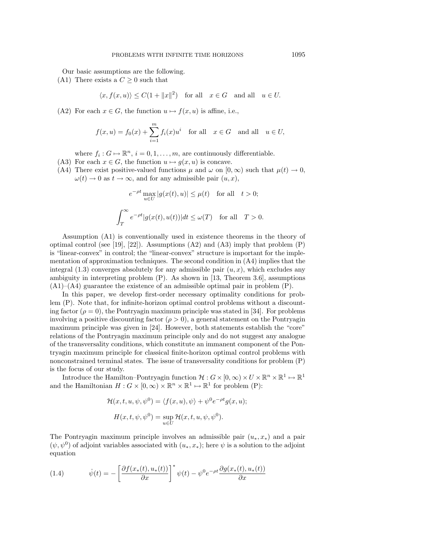Our basic assumptions are the following.

(A1) There exists a  $C \geq 0$  such that

$$
\langle x, f(x, u) \rangle \le C(1 + ||x||^2)
$$
 for all  $x \in G$  and all  $u \in U$ .

(A2) For each  $x \in G$ , the function  $u \mapsto f(x, u)$  is affine, i.e.,

$$
f(x, u) = f_0(x) + \sum_{i=1}^{m} f_i(x)u^i \quad \text{for all} \quad x \in G \quad \text{and all} \quad u \in U,
$$

where  $f_i: G \mapsto \mathbb{R}^n$ ,  $i = 0, 1, \ldots, m$ , are continuously differentiable.

- (A3) For each  $x \in G$ , the function  $u \mapsto g(x, u)$  is concave.
- (A4) There exist positive-valued functions  $\mu$  and  $\omega$  on  $[0,\infty)$  such that  $\mu(t) \to 0$ ,  $\omega(t) \to 0$  as  $t \to \infty$ , and for any admissible pair  $(u, x)$ ,

$$
e^{-\rho t} \max_{u \in U} |g(x(t), u)| \le \mu(t) \quad \text{for all} \quad t > 0;
$$
  

$$
\int_T^{\infty} e^{-\rho t} |g(x(t), u(t))| dt \le \omega(T) \quad \text{for all} \quad T > 0.
$$

Assumption (A1) is conventionally used in existence theorems in the theory of optimal control (see [19], [22]). Assumptions  $(A2)$  and  $(A3)$  imply that problem  $(P)$ is "linear-convex" in control; the "linear-convex" structure is important for the implementation of approximation techniques. The second condition in  $(A4)$  implies that the integral  $(1.3)$  converges absolutely for any admissible pair  $(u, x)$ , which excludes any ambiguity in interpreting problem (P). As shown in [13, Theorem 3.6], assumptions  $(A1)$ – $(A4)$  guarantee the existence of an admissible optimal pair in problem  $(P)$ .

In this paper, we develop first-order necessary optimality conditions for problem (P). Note that, for infinite-horizon optimal control problems without a discounting factor ( $\rho = 0$ ), the Pontryagin maximum principle was stated in [34]. For problems involving a positive discounting factor  $(\rho > 0)$ , a general statement on the Pontryagin maximum principle was given in [24]. However, both statements establish the "core" relations of the Pontryagin maximum principle only and do not suggest any analogue of the transversality conditions, which constitute an immanent component of the Pontryagin maximum principle for classical finite-horizon optimal control problems with nonconstrained terminal states. The issue of transversality conditions for problem (P) is the focus of our study.

Introduce the Hamilton–Pontryagin function  $\mathcal{H}: G \times [0,\infty) \times U \times \mathbb{R}^n \times \mathbb{R}^1 \mapsto \mathbb{R}^1$ and the Hamiltonian  $H: G \times [0, \infty) \times \mathbb{R}^n \times \mathbb{R}^1 \mapsto \mathbb{R}^1$  for problem (P):

$$
\mathcal{H}(x, t, u, \psi, \psi^0) = \langle f(x, u), \psi \rangle + \psi^0 e^{-\rho t} g(x, u);
$$

$$
H(x, t, \psi, \psi^0) = \sup_{u \in U} \mathcal{H}(x, t, u, \psi, \psi^0).
$$

The Pontryagin maximum principle involves an admissible pair  $(u_*, x_*)$  and a pair  $(\psi, \psi^0)$  of adjoint variables associated with  $(u_*, x_*)$ ; here  $\psi$  is a solution to the adjoint equation

(1.4) 
$$
\dot{\psi}(t) = -\left[\frac{\partial f(x_*(t), u_*(t))}{\partial x}\right]^* \psi(t) - \psi^0 e^{-\rho t} \frac{\partial g(x_*(t), u_*(t))}{\partial x}
$$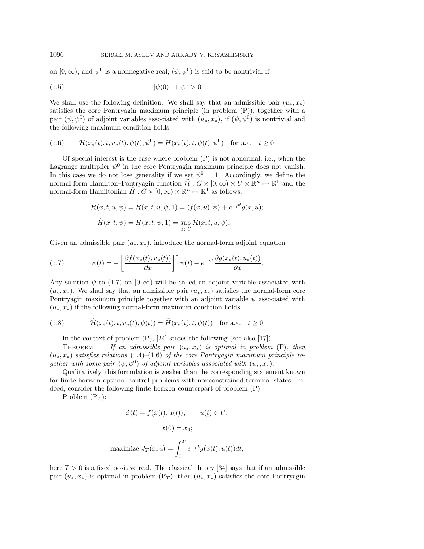on  $[0, \infty)$ , and  $\psi^0$  is a nonnegative real;  $(\psi, \psi^0)$  is said to be nontrivial if

(1.5) 
$$
\|\psi(0)\| + \psi^0 > 0.
$$

We shall use the following definition. We shall say that an admissible pair  $(u_*, x_*)$ satisfies the core Pontryagin maximum principle (in problem (P)), together with a pair  $(\psi, \psi^0)$  of adjoint variables associated with  $(u_*, x_*)$ , if  $(\psi, \psi^0)$  is nontrivial and the following maximum condition holds:

(1.6) 
$$
\mathcal{H}(x_*(t), t, u_*(t), \psi(t), \psi^0) = H(x_*(t), t, \psi(t), \psi^0) \text{ for a.a. } t \ge 0.
$$

Of special interest is the case where problem (P) is not abnormal, i.e., when the Lagrange multiplier  $\psi^0$  in the core Pontryagin maximum principle does not vanish. In this case we do not lose generality if we set  $\psi^0 = 1$ . Accordingly, we define the normal-form Hamilton–Pontryagin function  $\tilde{\mathcal{H}}$  :  $G \times [0,\infty) \times U \times \mathbb{R}^n \mapsto \mathbb{R}^1$  and the normal-form Hamiltonian  $\tilde{H}: G \times [0,\infty) \times \mathbb{R}^n \mapsto \mathbb{R}^1$  as follows:

$$
\tilde{\mathcal{H}}(x, t, u, \psi) = \mathcal{H}(x, t, u, \psi, 1) = \langle f(x, u), \psi \rangle + e^{-\rho t} g(x, u);
$$

$$
\tilde{H}(x, t, \psi) = H(x, t, \psi, 1) = \sup_{u \in U} \tilde{\mathcal{H}}(x, t, u, \psi).
$$

Given an admissible pair  $(u_*, x_*)$ , introduce the normal-form adjoint equation

(1.7) 
$$
\dot{\psi}(t) = -\left[\frac{\partial f(x_*(t), u_*(t))}{\partial x}\right]^* \psi(t) - e^{-\rho t} \frac{\partial g(x_*(t), u_*(t))}{\partial x}.
$$

Any solution  $\psi$  to (1.7) on [0,  $\infty$ ) will be called an adjoint variable associated with  $(u_*,x_*)$ . We shall say that an admissible pair  $(u_*,x_*)$  satisfies the normal-form core Pontryagin maximum principle together with an adjoint variable  $\psi$  associated with  $(u_*, x_*)$  if the following normal-form maximum condition holds:

(1.8) 
$$
\tilde{\mathcal{H}}(x_*(t), t, u_*(t), \psi(t)) = \tilde{H}(x_*(t), t, \psi(t)) \text{ for a.a. } t \ge 0.
$$

In the context of problem (P), [24] states the following (see also [17]).

THEOREM 1. If an admissible pair  $(u_*,x_*)$  is optimal in problem (P), then  $(u_*,x_*)$  satisfies relations (1.4)–(1.6) of the core Pontryagin maximum principle together with some pair  $(\psi, \psi^0)$  of adjoint variables associated with  $(u_*, x_*)$ .

Qualitatively, this formulation is weaker than the corresponding statement known for finite-horizon optimal control problems with nonconstrained terminal states. Indeed, consider the following finite-horizon counterpart of problem (P).

Problem  $(P_T)$ :

$$
\dot{x}(t) = f(x(t), u(t)), \qquad u(t) \in U;
$$
  

$$
x(0) = x_0;
$$
  

$$
\text{maximize } J_T(x, u) = \int_0^T e^{-\rho t} g(x(t), u(t)) dt;
$$

here  $T > 0$  is a fixed positive real. The classical theory [34] says that if an admissible pair  $(u_*,x_*)$  is optimal in problem  $(P_T)$ , then  $(u_*,x_*)$  satisfies the core Pontryagin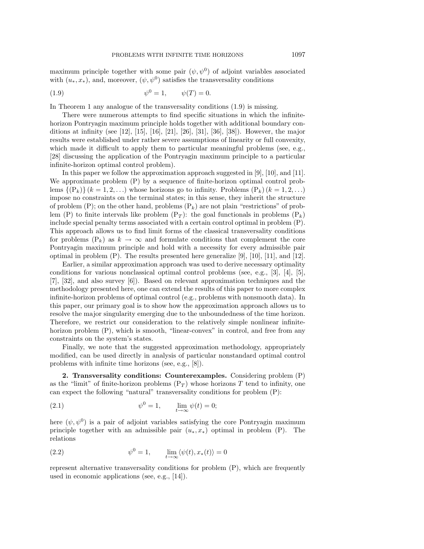maximum principle together with some pair  $(\psi, \psi^0)$  of adjoint variables associated with  $(u_*, x_*)$ , and, moreover,  $(\psi, \psi^0)$  satisfies the transversality conditions

(1.9) 
$$
\psi^0 = 1, \qquad \psi(T) = 0.
$$

In Theorem 1 any analogue of the transversality conditions (1.9) is missing.

There were numerous attempts to find specific situations in which the infinitehorizon Pontryagin maximum principle holds together with additional boundary conditions at infinity (see [12], [15], [16], [21], [26], [31], [36], [38]). However, the major results were established under rather severe assumptions of linearity or full convexity, which made it difficult to apply them to particular meaningful problems (see, e.g., [28] discussing the application of the Pontryagin maximum principle to a particular infinite-horizon optimal control problem).

In this paper we follow the approximation approach suggested in [9], [10], and [11]. We approximate problem (P) by a sequence of finite-horizon optimal control problems  $\{(\mathcal{P}_k)\}(k=1,2,\ldots)$  whose horizons go to infinity. Problems  $(\mathcal{P}_k)(k=1,2,\ldots)$ impose no constraints on the terminal states; in this sense, they inherit the structure of problem  $(P)$ ; on the other hand, problems  $(P_k)$  are not plain "restrictions" of problem (P) to finite intervals like problem  $(P_T)$ : the goal functionals in problems  $(P_k)$ include special penalty terms associated with a certain control optimal in problem (P). This approach allows us to find limit forms of the classical transversality conditions for problems  $(P_k)$  as  $k \to \infty$  and formulate conditions that complement the core Pontryagin maximum principle and hold with a necessity for every admissible pair optimal in problem  $(P)$ . The results presented here generalize [9], [10], [11], and [12].

Earlier, a similar approximation approach was used to derive necessary optimality conditions for various nonclassical optimal control problems (see, e.g., [3], [4], [5], [7], [32], and also survey [6]). Based on relevant approximation techniques and the methodology presented here, one can extend the results of this paper to more complex infinite-horizon problems of optimal control (e.g., problems with nonsmooth data). In this paper, our primary goal is to show how the approximation approach allows us to resolve the major singularity emerging due to the unboundedness of the time horizon. Therefore, we restrict our consideration to the relatively simple nonlinear infinitehorizon problem  $(P)$ , which is smooth, "linear-convex" in control, and free from any constraints on the system's states.

Finally, we note that the suggested approximation methodology, appropriately modified, can be used directly in analysis of particular nonstandard optimal control problems with infinite time horizons (see, e.g., [8]).

**2. Transversality conditions: Counterexamples.** Considering problem (P) as the "limit" of finite-horizon problems  $(P_T)$  whose horizons T tend to infinity, one can expect the following "natural" transversality conditions for problem (P):

(2.1) 
$$
\psi^0 = 1, \qquad \lim_{t \to \infty} \psi(t) = 0;
$$

here  $(\psi, \psi^0)$  is a pair of adjoint variables satisfying the core Pontryagin maximum principle together with an admissible pair  $(u_*, x_*)$  optimal in problem (P). The relations

(2.2) 
$$
\psi^0 = 1, \qquad \lim_{t \to \infty} \langle \psi(t), x_*(t) \rangle = 0
$$

represent alternative transversality conditions for problem (P), which are frequently used in economic applications (see, e.g., [14]).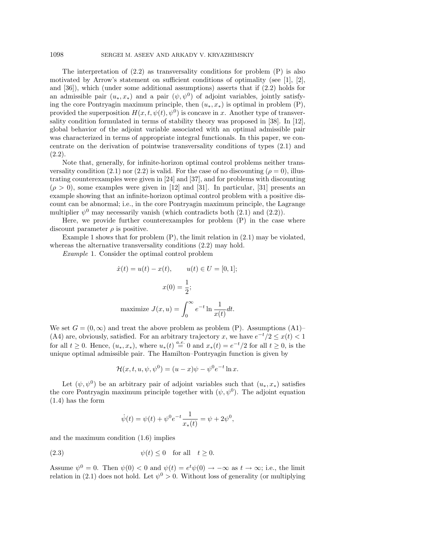The interpretation of  $(2.2)$  as transversality conditions for problem  $(P)$  is also motivated by Arrow's statement on sufficient conditions of optimality (see  $[1], [2],$ and [36]), which (under some additional assumptions) asserts that if (2.2) holds for an admissible pair  $(u_*,x_*)$  and a pair  $(\psi, \psi^0)$  of adjoint variables, jointly satisfying the core Pontryagin maximum principle, then  $(u_*, x_*)$  is optimal in problem (P), provided the superposition  $H(x, t, \psi(t), \psi^{0})$  is concave in x. Another type of transversality condition formulated in terms of stability theory was proposed in [38]. In [12], global behavior of the adjoint variable associated with an optimal admissible pair was characterized in terms of appropriate integral functionals. In this paper, we concentrate on the derivation of pointwise transversality conditions of types (2.1) and (2.2).

Note that, generally, for infinite-horizon optimal control problems neither transversality condition (2.1) nor (2.2) is valid. For the case of no discounting ( $\rho = 0$ ), illustrating counterexamples were given in [24] and [37], and for problems with discounting  $(\rho > 0)$ , some examples were given in [12] and [31]. In particular, [31] presents an example showing that an infinite-horizon optimal control problem with a positive discount can be abnormal; i.e., in the core Pontryagin maximum principle, the Lagrange multiplier  $\psi^0$  may necessarily vanish (which contradicts both (2.1) and (2.2)).

Here, we provide further counterexamples for problem (P) in the case where discount parameter  $\rho$  is positive.

Example 1 shows that for problem  $(P)$ , the limit relation in  $(2.1)$  may be violated, whereas the alternative transversality conditions (2.2) may hold.

Example 1. Consider the optimal control problem

$$
\dot{x}(t) = u(t) - x(t), \qquad u(t) \in U = [0, 1];
$$

$$
x(0) = \frac{1}{2};
$$
  
maximize  $J(x, u) = \int_0^\infty e^{-t} \ln \frac{1}{x(t)} dt.$ 

We set  $G = (0, \infty)$  and treat the above problem as problem (P). Assumptions (A1)– (A4) are, obviously, satisfied. For an arbitrary trajectory x, we have  $e^{-t}/2 \leq x(t) < 1$ for all  $t \geq 0$ . Hence,  $(u_*, x_*)$ , where  $u_*(t) \stackrel{a.e.}{=} 0$  and  $x_*(t) = e^{-t}/2$  for all  $t \geq 0$ , is the unique optimal admissible pair. The Hamilton–Pontryagin function is given by

$$
\mathcal{H}(x,t,u,\psi,\psi^0) = (u-x)\psi - \psi^0 e^{-t} \ln x.
$$

Let  $(\psi, \psi^0)$  be an arbitrary pair of adjoint variables such that  $(u_*, x_*)$  satisfies the core Pontryagin maximum principle together with  $(\psi, \psi^0)$ . The adjoint equation (1.4) has the form

$$
\dot{\psi}(t) = \psi(t) + \psi^0 e^{-t} \frac{1}{x_*(t)} = \psi + 2\psi^0,
$$

and the maximum condition (1.6) implies

(2.3) 
$$
\psi(t) \le 0 \quad \text{for all} \quad t \ge 0.
$$

Assume  $\psi^0 = 0$ . Then  $\psi(0) < 0$  and  $\psi(t) = e^t \psi(0) \to -\infty$  as  $t \to \infty$ ; i.e., the limit relation in (2.1) does not hold. Let  $\psi^0 > 0$ . Without loss of generality (or multiplying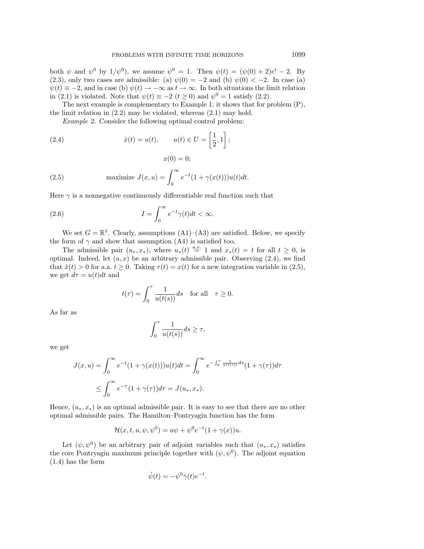both  $\psi$  and  $\psi^0$  by  $1/\psi^0$ , we assume  $\psi^0 = 1$ . Then  $\psi(t) = (\psi(0) + 2)e^t - 2$ . By (2.3), only two cases are admissible: (a)  $\psi(0) = -2$  and (b)  $\psi(0) < -2$ . In case (a)  $\psi(t) \equiv -2$ , and in case (b)  $\psi(t) \rightarrow -\infty$  as  $t \rightarrow \infty$ . In both situations the limit relation in (2.1) is violated. Note that  $\psi(t) \equiv -2$   $(t \ge 0)$  and  $\psi^0 = 1$  satisfy (2.2).

The next example is complementary to Example 1; it shows that for problem (P), the limit relation in (2.2) may be violated, whereas (2.1) may hold.

 $x(0) = 0$ ;

Example 2. Consider the following optimal control problem:

(2.4) 
$$
\dot{x}(t) = u(t), \qquad u(t) \in U = \left[\frac{1}{2}, 1\right];
$$

(2.5) maximize 
$$
J(x, u) = \int_0^\infty e^{-t} (1 + \gamma(x(t))) u(t) dt
$$
.

Here  $\gamma$  is a nonnegative continuously differentiable real function such that

(2.6) 
$$
I = \int_0^\infty e^{-t} \gamma(t) dt < \infty.
$$

We set  $G = \mathbb{R}^1$ . Clearly, assumptions  $(A1)$ – $(A3)$  are satisfied. Below, we specify the form of  $\gamma$  and show that assumption (A4) is satisfied too.

The admissible pair  $(u_*, x_*)$ , where  $u_*(t) \stackrel{a.e.}{=} 1$  and  $x_*(t) = t$  for all  $t \geq 0$ , is optimal. Indeed, let  $(u, x)$  be an arbitrary admissible pair. Observing  $(2.4)$ , we find that  $\dot{x}(t) > 0$  for a.a.  $t \geq 0$ . Taking  $\tau(t) = x(t)$  for a new integration variable in (2.5), we get  $d\tau = u(t)dt$  and

$$
t(\tau) = \int_0^{\tau} \frac{1}{u(t(s))} ds \quad \text{for all} \quad \tau \ge 0.
$$

As far as

$$
\int_0^\tau \frac{1}{u(t(s))} ds \ge \tau,
$$

we get

$$
J(x,u) = \int_0^\infty e^{-t} (1 + \gamma(x(t))) u(t) dt = \int_0^\infty e^{-\int_0^\tau \frac{1}{u(t(s))} ds} (1 + \gamma(\tau)) d\tau
$$
  

$$
\leq \int_0^\infty e^{-\tau} (1 + \gamma(\tau)) d\tau = J(u_*, x_*).
$$

Hence,  $(u_*, x_*)$  is an optimal admissible pair. It is easy to see that there are no other optimal admissible pairs. The Hamilton–Pontryagin function has the form

$$
\mathcal{H}(x, t, u, \psi, \psi^0) = u\psi + \psi^0 e^{-t} (1 + \gamma(x))u.
$$

Let  $(\psi, \psi^0)$  be an arbitrary pair of adjoint variables such that  $(u_*, x_*)$  satisfies the core Pontryagin maximum principle together with  $(\psi, \psi^0)$ . The adjoint equation (1.4) has the form

$$
\dot{\psi}(t) = -\psi^0 \dot{\gamma}(t) e^{-t}.
$$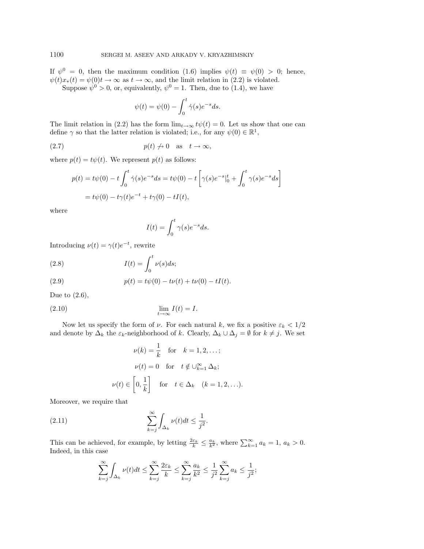If  $\psi^0 = 0$ , then the maximum condition (1.6) implies  $\psi(t) \equiv \psi(0) > 0$ ; hence,  $\psi(t)x_*(t) = \psi(0)t \to \infty$  as  $t \to \infty$ , and the limit relation in (2.2) is violated. Suppose  $\psi^0 > 0$ , or, equivalently,  $\psi^0 = 1$ . Then, due to (1.4), we have

$$
\psi(t) = \psi(0) - \int_0^t \dot{\gamma}(s) e^{-s} ds.
$$

The limit relation in (2.2) has the form  $\lim_{t\to\infty} t\psi(t) = 0$ . Let us show that one can define  $\gamma$  so that the latter relation is violated; i.e., for any  $\psi(0) \in \mathbb{R}^1$ ,

$$
(2.7) \t\t\t p(t) \t\t \to 0 \t as \t\t t \to \infty,
$$

where  $p(t) = t\psi(t)$ . We represent  $p(t)$  as follows:

$$
p(t) = t\psi(0) - t \int_0^t \dot{\gamma}(s)e^{-s}ds = t\psi(0) - t \left[ \gamma(s)e^{-s}|_0^t + \int_0^t \gamma(s)e^{-s}ds \right]
$$
  
=  $t\psi(0) - t\gamma(t)e^{-t} + t\gamma(0) - tI(t),$ 

where

$$
I(t) = \int_0^t \gamma(s)e^{-s}ds.
$$

Introducing  $\nu(t) = \gamma(t)e^{-t}$ , rewrite

(2.8) 
$$
I(t) = \int_0^t \nu(s)ds;
$$

(2.9) 
$$
p(t) = t\psi(0) - t\nu(t) + t\nu(0) - tI(t).
$$

Due to  $(2.6)$ ,

(2.10) 
$$
\lim_{t \to \infty} I(t) = I.
$$

Now let us specify the form of  $\nu$ . For each natural k, we fix a positive  $\varepsilon_k < 1/2$ and denote by  $\Delta_k$  the  $\varepsilon_k$ -neighborhood of k. Clearly,  $\Delta_k \cup \Delta_j = \emptyset$  for  $k \neq j$ . We set

$$
\nu(k) = \frac{1}{k} \quad \text{for} \quad k = 1, 2, \dots;
$$

$$
\nu(t) = 0 \quad \text{for} \quad t \notin \bigcup_{k=1}^{\infty} \Delta_k;
$$

$$
\nu(t) \in \left[0, \frac{1}{k}\right] \quad \text{for} \quad t \in \Delta_k \quad (k = 1, 2, \dots).
$$

Moreover, we require that

(2.11) 
$$
\sum_{k=j}^{\infty} \int_{\Delta_k} \nu(t) dt \leq \frac{1}{j^2}.
$$

This can be achieved, for example, by letting  $\frac{2\varepsilon_k}{k} \leq \frac{a_k}{k^2}$ , where  $\sum_{k=1}^{\infty} a_k = 1$ ,  $a_k > 0$ . Indeed, in this case

$$
\sum_{k=j}^{\infty} \int_{\Delta_k} \nu(t) dt \le \sum_{k=j}^{\infty} \frac{2\varepsilon_k}{k} \le \sum_{k=j}^{\infty} \frac{a_k}{k^2} \le \frac{1}{j^2} \sum_{k=j}^{\infty} a_k \le \frac{1}{j^2};
$$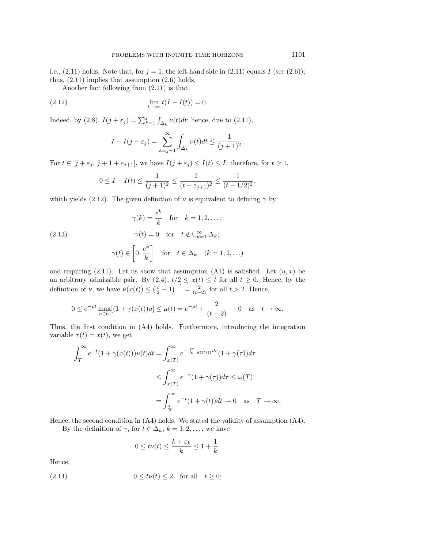i.e.,  $(2.11)$  holds. Note that, for  $j = 1$ , the left-hand side in  $(2.11)$  equals I (see  $(2.6)$ ); thus, (2.11) implies that assumption (2.6) holds.

Another fact following from (2.11) is that

$$
\lim_{t \to \infty} t(I - I(t)) = 0.
$$

Indeed, by (2.8),  $I(j + \varepsilon_j) = \sum_{k=1}^j \int_{\Delta_k} \nu(t) dt$ ; hence, due to (2.11),

$$
I - I(j + \varepsilon_j) = \sum_{k=j+1}^{\infty} \int_{\Delta_k} \nu(t) dt \le \frac{1}{(j+1)^2}.
$$

For  $t \in [j + \varepsilon_j, j + 1 + \varepsilon_{j+1}]$ , we have  $I(j + \varepsilon_j) \leq I(t) \leq I$ ; therefore, for  $t \geq 1$ ,

$$
0 \le I - I(t) \le \frac{1}{(j+1)^2} \le \frac{1}{(t - \varepsilon_{j+1})^2} \le \frac{1}{(t - 1/2)^2},
$$

which yields (2.12). The given definition of  $\nu$  is equivalent to defining  $\gamma$  by

(2.13) 
$$
\gamma(k) = \frac{e^k}{k} \quad \text{for} \quad k = 1, 2, \dots;
$$

$$
\gamma(t) = 0 \quad \text{for} \quad t \notin \bigcup_{k=1}^{\infty} \Delta_k;
$$

$$
\gamma(t) \in \left[0, \frac{e^k}{k}\right] \quad \text{for} \quad t \in \Delta_k \quad (k = 1, 2, \dots)
$$

and requiring (2.11). Let us show that assumption (A4) is satisfied. Let  $(u, x)$  be an arbitrary admissible pair. By  $(2.4)$ ,  $t/2 \leq x(t) \leq t$  for all  $t \geq 0$ . Hence, by the definition of  $\nu$ , we have  $\nu(x(t)) \leq (\frac{t}{2} - 1)^{-1} = \frac{2}{(t-2)}$  for all  $t > 2$ . Hence,

$$
0 \le e^{-\rho t} \max_{u \in U} [(1 + \gamma(x(t))u] \le \mu(t) = e^{-\rho t} + \frac{2}{(t-2)} \to 0 \text{ as } t \to \infty.
$$

Thus, the first condition in (A4) holds. Furthermore, introducing the integration variable  $\tau(t) = x(t)$ , we get

$$
\int_{T}^{\infty} e^{-t} (1 + \gamma(x(t))) u(t) dt = \int_{x(T)}^{\infty} e^{-\int_{0}^{\tau} \frac{1}{u(t(s))} ds} (1 + \gamma(\tau)) d\tau
$$
  

$$
\leq \int_{x(T)}^{\infty} e^{-\tau} (1 + \gamma(\tau)) d\tau \leq \omega(T)
$$
  

$$
= \int_{\frac{T}{2}}^{\infty} e^{-t} (1 + \gamma(t)) dt \to 0 \text{ as } T \to \infty.
$$

Hence, the second condition in (A4) holds. We stated the validity of assumption (A4).

By the definition of  $\gamma$ , for  $t \in \Delta_k$ ,  $k = 1, 2, \ldots$ , we have

$$
0 \le t\nu(t) \le \frac{k+\varepsilon_k}{k} \le 1 + \frac{1}{k}.
$$

Hence,

$$
(2.14) \t\t 0 \le t\nu(t) \le 2 \t \text{for all} \t t \ge 0;
$$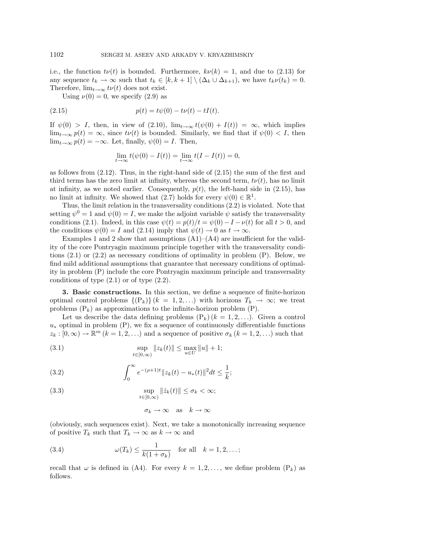i.e., the function  $t\nu(t)$  is bounded. Furthermore,  $k\nu(k) = 1$ , and due to (2.13) for any sequence  $t_k \to \infty$  such that  $t_k \in [k, k+1] \setminus (\Delta_k \cup \Delta_{k+1})$ , we have  $t_k \nu(t_k) = 0$ . Therefore,  $\lim_{t\to\infty} t\nu(t)$  does not exist.

Using  $\nu(0) = 0$ , we specify  $(2.9)$  as

(2.15) 
$$
p(t) = t\psi(0) - t\nu(t) - tI(t).
$$

If  $\psi(0) > I$ , then, in view of (2.10),  $\lim_{t\to\infty} t(\psi(0) + I(t)) = \infty$ , which implies  $\lim_{t\to\infty} p(t) = \infty$ , since  $t\nu(t)$  is bounded. Similarly, we find that if  $\psi(0) < I$ , then  $\lim_{t\to\infty} p(t) = -\infty$ . Let, finally,  $\psi(0) = I$ . Then,

$$
\lim_{t \to \infty} t(\psi(0) - I(t)) = \lim_{t \to \infty} t(I - I(t)) = 0,
$$

as follows from (2.12). Thus, in the right-hand side of (2.15) the sum of the first and third terms has the zero limit at infinity, whereas the second term,  $t\nu(t)$ , has no limit at infinity, as we noted earlier. Consequently,  $p(t)$ , the left-hand side in (2.15), has no limit at infinity. We showed that (2.7) holds for every  $\psi(0) \in \mathbb{R}^1$ .

Thus, the limit relation in the transversality conditions (2.2) is violated. Note that setting  $\psi^0 = 1$  and  $\psi(0) = I$ , we make the adjoint variable  $\psi$  satisfy the transversality conditions (2.1). Indeed, in this case  $\psi(t) = p(t)/t = \psi(0) - I - \nu(t)$  for all  $t > 0$ , and the conditions  $\psi(0) = I$  and  $(2.14)$  imply that  $\psi(t) \to 0$  as  $t \to \infty$ .

Examples 1 and 2 show that assumptions  $(A1)$ – $(A4)$  are insufficient for the validity of the core Pontryagin maximum principle together with the transversality conditions  $(2.1)$  or  $(2.2)$  as necessary conditions of optimality in problem  $(P)$ . Below, we find mild additional assumptions that guarantee that necessary conditions of optimality in problem (P) include the core Pontryagin maximum principle and transversality conditions of type  $(2.1)$  or of type  $(2.2)$ .

**3. Basic constructions.** In this section, we define a sequence of finite-horizon optimal control problems  $\{(P_k)\}(k = 1, 2, \ldots)$  with horizons  $T_k \to \infty$ ; we treat problems  $(P_k)$  as approximations to the infinite-horizon problem  $(P)$ .

Let us describe the data defining problems  $(P_k)(k = 1, 2, \ldots)$ . Given a control  $u_*$  optimal in problem (P), we fix a sequence of continuously differentiable functions  $z_k : [0, \infty) \to \mathbb{R}^m$   $(k = 1, 2, \ldots)$  and a sequence of positive  $\sigma_k$   $(k = 1, 2, \ldots)$  such that

(3.1) 
$$
\sup_{t \in [0,\infty)} ||z_k(t)|| \le \max_{u \in U} ||u|| + 1;
$$

(3.2) 
$$
\int_0^\infty e^{-(\rho+1)t} \|z_k(t) - u_*(t)\|^2 dt \leq \frac{1}{k};
$$

(3.3) 
$$
\sup_{t\in[0,\infty)}||\dot{z}_k(t)|| \leq \sigma_k < \infty;
$$

$$
\sigma_k \to \infty \quad \text{as} \quad k \to \infty
$$

(obviously, such sequences exist). Next, we take a monotonically increasing sequence of positive  $T_k$  such that  $T_k \to \infty$  as  $k \to \infty$  and

(3.4) 
$$
\omega(T_k) \leq \frac{1}{k(1+\sigma_k)} \quad \text{for all} \quad k = 1, 2, \dots;
$$

recall that  $\omega$  is defined in (A4). For every  $k = 1, 2, \ldots$ , we define problem  $(P_k)$  as follows.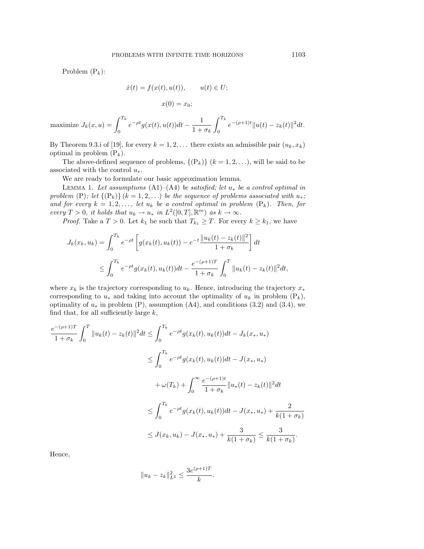Problem  $(P_k)$ :

$$
\dot{x}(t) = f(x(t), u(t)), \qquad u(t) \in U;
$$
  

$$
x(0) = x_0;
$$

maximize  $J_k(x, u) = \int^{T_k}$ 0  $e^{-\rho t}g(x(t),u(t))dt-\frac{1}{1+\sigma_k}$  $\int_0^{T_k}$ 0  $e^{-(\rho+1)t}||u(t)-z_k(t)||^2dt.$ 

By Theorem 9.3.i of [19], for every  $k = 1, 2, \ldots$  there exists an admissible pair  $(u_k, x_k)$ optimal in problem  $(P_k)$ .

The above-defined sequence of problems,  $\{(P_k)\}\ (k=1,2,\ldots)$ , will be said to be associated with the control  $u_*$ .

We are ready to formulate our basic approximation lemma.

LEMMA 1. Let assumptions (A1)–(A4) be satisfied; let  $u_*$  be a control optimal in problem (P); let  $\{(\mathbf{P}_k)\}(k=1,2,\ldots)$  be the sequence of problems associated with  $u_*$ ; and for every  $k = 1, 2, \ldots$ , let  $u_k$  be a control optimal in problem  $(P_k)$ . Then, for every  $T > 0$ , it holds that  $u_k \to u_*$  in  $L^2([0, T], \mathbb{R}^m)$  as  $k \to \infty$ .

*Proof.* Take a  $T > 0$ . Let  $k_1$  be such that  $T_{k_1} \geq T$ . For every  $k \geq k_1$ , we have

$$
J_k(x_k, u_k) = \int_0^{T_k} e^{-\rho t} \left[ g(x_k(t), u_k(t)) - e^{-t} \frac{\|u_k(t) - z_k(t)\|^2}{1 + \sigma_k} \right] dt
$$
  

$$
\leq \int_0^{T_k} e^{-\rho t} g(x_k(t), u_k(t)) dt - \frac{e^{-(\rho + 1)T}}{1 + \sigma_k} \int_0^T \|u_k(t) - z_k(t)\|^2 dt,
$$

where  $x_k$  is the trajectory corresponding to  $u_k$ . Hence, introducing the trajectory  $x_*$ corresponding to  $u_*$  and taking into account the optimality of  $u_k$  in problem  $(P_k)$ , optimality of  $u_*$  in problem (P), assumption (A4), and conditions (3.2) and (3.4), we find that, for all sufficiently large  $k$ ,

$$
\frac{e^{-(\rho+1)T}}{1+\sigma_k} \int_0^T \|u_k(t) - z_k(t)\|^2 dt \le \int_0^{T_k} e^{-\rho t} g(x_k(t), u_k(t)) dt - J_k(x_*, u_*)
$$
\n
$$
\le \int_0^{T_k} e^{-\rho t} g(x_k(t), u_k(t)) dt - J(x_*, u_*)
$$
\n
$$
+ \omega(T_k) + \int_0^\infty \frac{e^{-(\rho+1)t}}{1+\sigma_k} \|u_*(t) - z_k(t)\|^2 dt
$$
\n
$$
\le \int_0^{T_k} e^{-\rho t} g(x_k(t), u_k(t)) dt - J(x_*, u_*) + \frac{2}{k(1+\sigma_k)}
$$
\n
$$
\le J(x_k, u_k) - J(x_*, u_*) + \frac{3}{k(1+\sigma_k)} \le \frac{3}{k(1+\sigma_k)}.
$$

Hence,

$$
||u_k - z_k||_{L^2}^2 \le \frac{3e^{(\rho+1)T}}{k}.
$$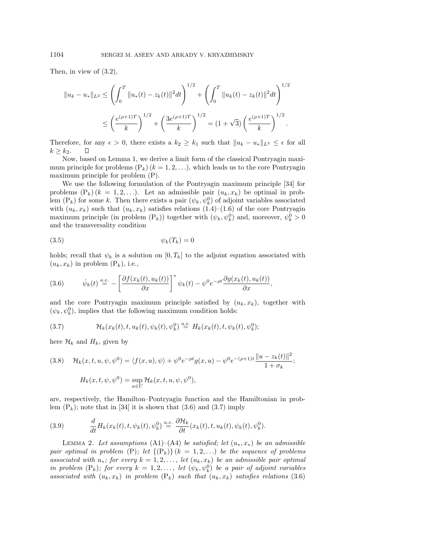Then, in view of (3.2),

$$
||u_k - u_*||_{L^2} \le \left(\int_0^T ||u_*(t) - z_k(t)||^2 dt\right)^{1/2} + \left(\int_0^T ||u_k(t) - z_k(t)||^2 dt\right)^{1/2}
$$
  

$$
\le \left(\frac{e^{(\rho+1)T}}{k}\right)^{1/2} + \left(\frac{3e^{(\rho+1)T}}{k}\right)^{1/2} = (1+\sqrt{3})\left(\frac{e^{(\rho+1)T}}{k}\right)^{1/2}.
$$

Therefore, for any  $\epsilon > 0$ , there exists a  $k_2 \geq k_1$  such that  $||u_k - u_*||_{L^2} \leq \epsilon$  for all  $k \geq k_2$ . П

Now, based on Lemma 1, we derive a limit form of the classical Pontryagin maximum principle for problems  $(P_k)$   $(k = 1, 2, \ldots)$ , which leads us to the core Pontryagin maximum principle for problem (P).

We use the following formulation of the Pontryagin maximum principle [34] for problems  $(P_k)$   $(k = 1, 2, \ldots)$ . Let an admissible pair  $(u_k, x_k)$  be optimal in problem  $(P_k)$  for some k. Then there exists a pair  $(\psi_k, \psi_k^0)$  of adjoint variables associated with  $(u_k, x_k)$  such that  $(u_k, x_k)$  satisfies relations  $(1.4)$ – $(1.6)$  of the core Pontryagin maximum principle (in problem  $(P_k)$ ) together with  $(\psi_k, \psi_k^0)$  and, moreover,  $\psi_k^0 > 0$ and the transversality condition

$$
\psi_k(T_k) = 0
$$

holds; recall that  $\psi_k$  is a solution on  $[0, T_k]$  to the adjoint equation associated with  $(u_k, x_k)$  in problem  $(P_k)$ , i.e.,

$$
(3.6) \qquad \dot{\psi}_k(t) \stackrel{a.e.}{=} -\left[\frac{\partial f(x_k(t), u_k(t))}{\partial x}\right]^* \psi_k(t) - \psi^0 e^{-\rho t} \frac{\partial g(x_k(t), u_k(t))}{\partial x},
$$

and the core Pontryagin maximum principle satisfied by  $(u_k, x_k)$ , together with  $(\psi_k, \psi_k^0)$ , implies that the following maximum condition holds:

(3.7) 
$$
\mathcal{H}_k(x_k(t),t,u_k(t),\psi_k(t),\psi_k^0) \stackrel{a.e.}{=} H_k(x_k(t),t,\psi_k(t),\psi_k^0);
$$

here  $\mathcal{H}_k$  and  $H_k$ , given by

(3.8) 
$$
\mathcal{H}_k(x, t, u, \psi, \psi^0) = \langle f(x, u), \psi \rangle + \psi^0 e^{-\rho t} g(x, u) - \psi^0 e^{-(\rho + 1)t} \frac{\|u - z_k(t)\|^2}{1 + \sigma_k};
$$

$$
H_k(x, t, \psi, \psi^0) = \sup_{u \in U} \mathcal{H}_k(x, t, u, \psi, \psi^0),
$$

are, respectively, the Hamilton–Pontryagin function and the Hamiltonian in problem  $(P_k)$ ; note that in [34] it is shown that (3.6) and (3.7) imply

(3.9) 
$$
\frac{d}{dt}H_k(x_k(t),t,\psi_k(t),\psi_k^0) \stackrel{a.e.}{=} \frac{\partial \mathcal{H}_k}{\partial t}(x_k(t),t,u_k(t),\psi_k(t),\psi_k^0).
$$

LEMMA 2. Let assumptions  $(A1)–(A4)$  be satisfied; let  $(u_*,x_*)$  be an admissible pair optimal in problem (P); let  $\{(\mathbf{P}_k)\}\$   $(k = 1, 2, \ldots)$  be the sequence of problems associated with  $u_*$ ; for every  $k = 1, 2, \ldots$ , let  $(u_k, x_k)$  be an admissible pair optimal in problem  $(P_k)$ ; for every  $k = 1, 2, \ldots$ , let  $(\psi_k, \psi_k^0)$  be a pair of adjoint variables associated with  $(u_k, x_k)$  in problem  $(P_k)$  such that  $(u_k, x_k)$  satisfies relations (3.6)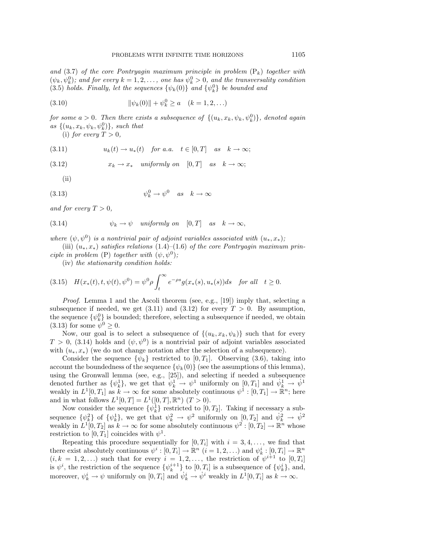and (3.7) of the core Pontryagin maximum principle in problem  $(P_k)$  together with  $(\psi_k, \psi_k^0)$ ; and for every  $k = 1, 2, \ldots$ , one has  $\psi_k^0 > 0$ , and the transversality condition (3.5) holds. Finally, let the sequences  $\{\psi_k(0)\}\$  and  $\{\psi_k^0\}\$ be bounded and

(3.10) 
$$
\|\psi_k(0)\| + \psi_k^0 \ge a \quad (k = 1, 2, ...)
$$

for some  $a > 0$ . Then there exists a subsequence of  $\{(u_k, x_k, \psi_k, \psi_k^0)\}\$ , denoted again as  $\{(u_k, x_k, \psi_k, \psi_k^0)\}\$ , such that

(i) for every  $T > 0$ ,

$$
(3.11) \t uk(t) \to u*(t) \t for a.a. \t t \in [0,T] \t as \t k \to \infty;
$$

(3.12) 
$$
x_k \to x_*
$$
 uniformly on [0,T] as  $k \to \infty$ ;

(ii)

$$
\psi_k^0 \to \psi^0 \quad as \quad k \to \infty
$$

and for every  $T > 0$ ,

(3.14) 
$$
\psi_k \to \psi \quad \text{uniformly on} \quad [0, T] \quad \text{as} \quad k \to \infty,
$$

where  $(\psi, \psi^0)$  is a nontrivial pair of adjoint variables associated with  $(u_*, x_*);$ 

(iii)  $(u_*,x_*)$  satisfies relations (1.4)–(1.6) of the core Pontryagin maximum principle in problem (P) together with  $(\psi, \psi^0)$ ;

(iv) the stationarity condition holds:

$$
(3.15) \quad H(x_*(t), t, \psi(t), \psi^0) = \psi^0 \rho \int_t^{\infty} e^{-\rho s} g(x_*(s), u_*(s)) ds \quad \text{for all} \quad t \ge 0.
$$

Proof. Lemma 1 and the Ascoli theorem (see, e.g., [19]) imply that, selecting a subsequence if needed, we get  $(3.11)$  and  $(3.12)$  for every  $T > 0$ . By assumption, the sequence  $\{\psi_k^0\}$  is bounded; therefore, selecting a subsequence if needed, we obtain (3.13) for some  $\psi^0 > 0$ .

Now, our goal is to select a subsequence of  $\{(u_k, x_k, \psi_k)\}\$  such that for every  $T > 0$ , (3.14) holds and  $(\psi, \psi^0)$  is a nontrivial pair of adjoint variables associated with  $(u_*, x_*)$  (we do not change notation after the selection of a subsequence).

Consider the sequence  $\{\psi_k\}$  restricted to [0, T<sub>1</sub>]. Observing (3.6), taking into account the boundedness of the sequence  $\{\psi_k(0)\}\$  (see the assumptions of this lemma), using the Gronwall lemma (see, e.g., [25]), and selecting if needed a subsequence denoted further as  $\{\psi_k^1\}$ , we get that  $\psi_k^1 \to \psi^1$  uniformly on  $[0, T_1]$  and  $\psi_k^1 \to \psi^1$ weakly in  $L^1[0,T_1]$  as  $k \to \infty$  for some absolutely continuous  $\psi^1 : [0,T_1] \to \mathbb{R}^n$ ; here and in what follows  $L^1[0, T] = L^1([0, T], \mathbb{R}^n)$   $(T > 0)$ .

Now consider the sequence  $\{\psi_k^1\}$  restricted to  $[0, T_2]$ . Taking if necessary a subsequence  $\{\psi_k^2\}$  of  $\{\psi_k^1\}$ , we get that  $\psi_k^2 \to \psi^2$  uniformly on  $[0, T_2]$  and  $\psi_k^2 \to \psi^2$ weakly in  $L^1[0, T_2]$  as  $k \to \infty$  for some absolutely continuous  $\psi^2 : [0, T_2] \to \mathbb{R}^n$  whose restriction to  $[0, T_1]$  coincides with  $\psi^1$ .

Repeating this procedure sequentially for  $[0, T_i]$  with  $i = 3, 4, \ldots$ , we find that there exist absolutely continuous  $\psi^i : [0, T_i] \to \mathbb{R}^n$   $(i = 1, 2, \ldots)$  and  $\psi^i_k : [0, T_i] \to \mathbb{R}^n$  $(i, k = 1, 2, ...)$  such that for every  $i = 1, 2, ...$ , the restriction of  $\psi^{i+1}$  to  $[0, T_i]$ is  $\psi^i$ , the restriction of the sequence  $\{\psi_k^{i+1}\}\$  to  $[0,T_i]$  is a subsequence of  $\{\psi_k^i\}\$ , and, moreover,  $\psi_k^i \to \psi$  uniformly on  $[0, T_i]$  and  $\dot{\psi}_k^i \to \dot{\psi}^i$  weakly in  $L^1[0, T_i]$  as  $k \to \infty$ .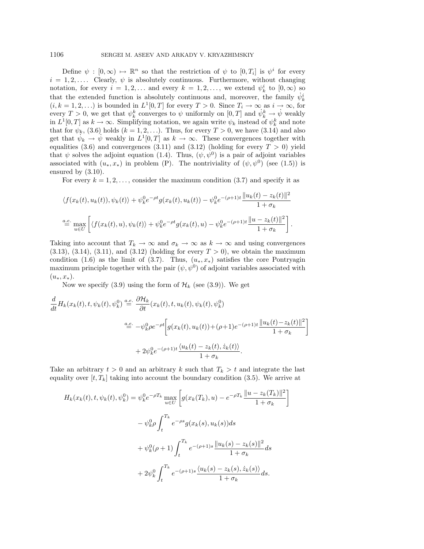Define  $\psi : [0,\infty) \mapsto \mathbb{R}^n$  so that the restriction of  $\psi$  to  $[0,T_i]$  is  $\psi^i$  for every  $i = 1, 2, \ldots$  Clearly,  $\psi$  is absolutely continuous. Furthermore, without changing notation, for every  $i = 1, 2, ...$  and every  $k = 1, 2, ...$ , we extend  $\psi_k^i$  to  $[0, \infty)$  so that the extended function is absolutely continuous and, moreover, the family  $\dot{\psi}_k^i$  $(i, k = 1, 2, ...)$  is bounded in  $L^1[0, T]$  for every  $T > 0$ . Since  $T_i \to \infty$  as  $i \to \infty$ , for every  $T > 0$ , we get that  $\psi_k^k$  converges to  $\psi$  uniformly on  $[0, T]$  and  $\dot{\psi}_k^k \to \dot{\psi}$  weakly in  $L^1[0,T]$  as  $k \to \infty$ . Simplifying notation, we again write  $\psi_k$  instead of  $\psi_k^k$  and note that for  $\psi_k$ , (3.6) holds  $(k = 1, 2, \ldots)$ . Thus, for every  $T > 0$ , we have (3.14) and also get that  $\psi_k \to \psi$  weakly in  $L^1[0,T]$  as  $k \to \infty$ . These convergences together with equalities (3.6) and convergences (3.11) and (3.12) (holding for every  $T > 0$ ) yield that  $\psi$  solves the adjoint equation (1.4). Thus,  $(\psi, \psi^0)$  is a pair of adjoint variables associated with  $(u_*, x_*)$  in problem (P). The nontriviality of  $(\psi, \psi^0)$  (see (1.5)) is ensured by (3.10).

For every  $k = 1, 2, \ldots$ , consider the maximum condition  $(3.7)$  and specify it as

$$
\langle f(x_k(t), u_k(t)), \psi_k(t) \rangle + \psi_k^0 e^{-\rho t} g(x_k(t), u_k(t)) - \psi_k^0 e^{-(\rho + 1)t} \frac{\|u_k(t) - z_k(t)\|^2}{1 + \sigma_k}
$$
  

$$
\stackrel{a.e.}{=} \max_{u \in U} \left[ \langle f(x_k(t), u), \psi_k(t) \rangle + \psi_k^0 e^{-\rho t} g(x_k(t), u) - \psi_k^0 e^{-(\rho + 1)t} \frac{\|u - z_k(t)\|^2}{1 + \sigma_k} \right].
$$

Taking into account that  $T_k \to \infty$  and  $\sigma_k \to \infty$  as  $k \to \infty$  and using convergences  $(3.13), (3.14), (3.11), and (3.12) (holding for every  $T > 0$ ), we obtain the maximum$ condition (1.6) as the limit of (3.7). Thus,  $(u_*, x_*)$  satisfies the core Pontryagin maximum principle together with the pair  $(\psi, \psi^0)$  of adjoint variables associated with  $(u_*, x_*)$ .

Now we specify (3.9) using the form of  $\mathcal{H}_k$  (see (3.9)). We get

$$
\frac{d}{dt}H_k(x_k(t),t,\psi_k(t),\psi_k^0) \stackrel{a.e.}{=} \frac{\partial \mathcal{H}_k}{\partial t}(x_k(t),t,u_k(t),\psi_k(t),\psi_k^0)
$$
\n
$$
\stackrel{a.e.}{=} -\psi_k^0 \rho e^{-\rho t} \bigg[ g(x_k(t),u_k(t)) + (\rho+1)e^{-(\rho+1)t} \frac{\|u_k(t) - z_k(t)\|^2}{1 + \sigma_k} \bigg]
$$
\n
$$
+ 2\psi_k^0 e^{-(\rho+1)t} \frac{\langle u_k(t) - z_k(t), \dot{z}_k(t) \rangle}{1 + \sigma_k}.
$$

Take an arbitrary  $t > 0$  and an arbitrary k such that  $T_k > t$  and integrate the last equality over  $[t, T_k]$  taking into account the boundary condition (3.5). We arrive at

$$
H_k(x_k(t), t, \psi_k(t), \psi_k^0) = \psi_k^0 e^{-\rho T_k} \max_{u \in U} \left[ g(x_k(T_k), u) - e^{-\rho T_k} \frac{||u - z_k(T_k)||^2}{1 + \sigma_k} \right]
$$
  

$$
- \psi_k^0 \rho \int_t^{T_k} e^{-\rho s} g(x_k(s), u_k(s)) ds
$$
  

$$
+ \psi_k^0 (\rho + 1) \int_t^{T_k} e^{-(\rho + 1)s} \frac{||u_k(s) - z_k(s)||^2}{1 + \sigma_k} ds
$$
  

$$
+ 2\psi_k^0 \int_t^{T_k} e^{-(\rho + 1)s} \frac{\langle u_k(s) - z_k(s), \dot{z}_k(s) \rangle}{1 + \sigma_k} ds.
$$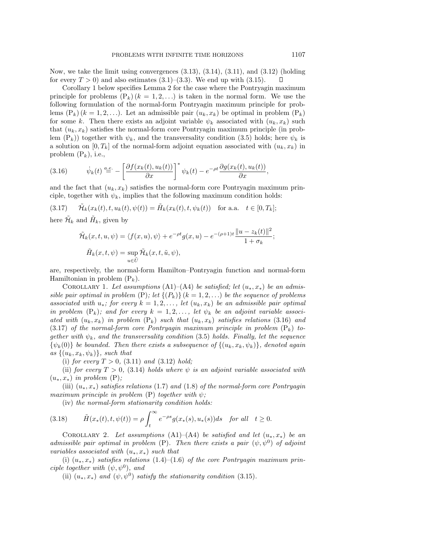Now, we take the limit using convergences (3.13), (3.14), (3.11), and (3.12) (holding for every  $T > 0$ ) and also estimates  $(3.1)$ – $(3.3)$ . We end up with  $(3.15)$ .  $\Box$ 

Corollary 1 below specifies Lemma 2 for the case where the Pontryagin maximum principle for problems  $(P_k)$   $(k = 1, 2, \ldots)$  is taken in the normal form. We use the following formulation of the normal-form Pontryagin maximum principle for problems  $(P_k)$   $(k = 1, 2, \ldots)$ . Let an admissible pair  $(u_k, x_k)$  be optimal in problem  $(P_k)$ for some k. Then there exists an adjoint variable  $\psi_k$  associated with  $(u_k, x_k)$  such that  $(u_k, x_k)$  satisfies the normal-form core Pontryagin maximum principle (in problem  $(P_k)$ ) together with  $\psi_k$ , and the transversality condition (3.5) holds; here  $\psi_k$  is a solution on  $[0, T_k]$  of the normal-form adjoint equation associated with  $(u_k, x_k)$  in problem  $(P_k)$ , i.e.,

$$
(3.16) \t\t \dot{\psi}_k(t) \stackrel{a.e.}{=} -\left[\frac{\partial f(x_k(t), u_k(t))}{\partial x}\right]^* \psi_k(t) - e^{-\rho t} \frac{\partial g(x_k(t), u_k(t))}{\partial x},
$$

and the fact that  $(u_k, x_k)$  satisfies the normal-form core Pontryagin maximum principle, together with  $\psi_k$ , implies that the following maximum condition holds:

 $\tilde{\mathcal{H}}_k(x_k(t), t, u_k(t), \psi(t)) = \tilde{H}_k(x_k(t), t, \psi_k(t))$  for a.a.  $t \in [0, T_k];$ 

here  $\tilde{\mathcal{H}}_k$  and  $\tilde{H}_k$ , given by

$$
\tilde{\mathcal{H}}_k(x, t, u, \psi) = \langle f(x, u), \psi \rangle + e^{-\rho t} g(x, u) - e^{-(\rho + 1)t} \frac{\|u - z_k(t)\|^2}{1 + \sigma_k};
$$
  

$$
\tilde{H}_k(x, t, \psi) = \sup_{u \in \tilde{U}} \tilde{\mathcal{H}}_k(x, t, \tilde{u}, \psi),
$$

are, respectively, the normal-form Hamilton–Pontryagin function and normal-form Hamiltonian in problem  $(P_k)$ .

COROLLARY 1. Let assumptions (A1)–(A4) be satisfied; let  $(u_*, x_*)$  be an admissible pair optimal in problem (P); let  $\{(P_k)\}\ (k=1,2,\ldots)$  be the sequence of problems associated with  $u_*$ ; for every  $k = 1, 2, \ldots$ , let  $(u_k, x_k)$  be an admissible pair optimal in problem  $(P_k)$ ; and for every  $k = 1, 2, \ldots$ , let  $\psi_k$  be an adjoint variable associated with  $(u_k, x_k)$  in problem  $(P_k)$  such that  $(u_k, x_k)$  satisfies relations (3.16) and (3.17) of the normal-form core Pontryagin maximum principle in problem  $(P_k)$  together with  $\psi_k$ , and the transversality condition (3.5) holds. Finally, let the sequence  $\{\psi_k(0)\}\$  be bounded. Then there exists a subsequence of  $\{(u_k, x_k, \psi_k)\}\$ , denoted again as  $\{(u_k, x_k, \psi_k)\}\$ , such that

(i) for every  $T > 0$ , (3.11) and (3.12) hold;

(ii) for every  $T > 0$ , (3.14) holds where  $\psi$  is an adjoint variable associated with  $(u_*, x_*)$  in problem  $(P)$ ;

(iii)  $(u_*,x_*)$  satisfies relations (1.7) and (1.8) of the normal-form core Pontryagin maximum principle in problem  $(P)$  together with  $\psi$ ;

(iv) the normal-form stationarity condition holds:

(3.18) 
$$
\tilde{H}(x_*(t), t, \psi(t)) = \rho \int_t^{\infty} e^{-\rho s} g(x_*(s), u_*(s)) ds \text{ for all } t \ge 0.
$$

COROLLARY 2. Let assumptions  $(A1)$ – $(A4)$  be satisfied and let  $(u_*,x_*)$  be an admissible pair optimal in problem (P). Then there exists a pair  $(\psi, \psi^0)$  of adjoint variables associated with  $(u_*, x_*)$  such that

(i)  $(u_*,x_*)$  satisfies relations (1.4)–(1.6) of the core Pontryagin maximum principle together with  $(\psi, \psi^0)$ , and

(ii)  $(u_*, x_*)$  and  $(\psi, \psi^0)$  satisfy the stationarity condition (3.15).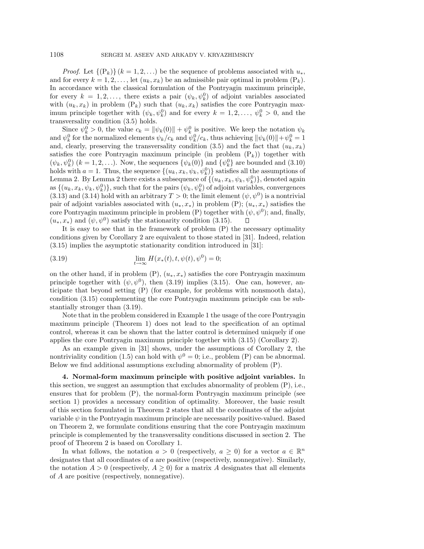*Proof.* Let  $\{(P_k)\}(k=1,2,...)$  be the sequence of problems associated with  $u_*$ , and for every  $k = 1, 2, \ldots$ , let  $(u_k, x_k)$  be an admissible pair optimal in problem  $(P_k)$ . In accordance with the classical formulation of the Pontryagin maximum principle, for every  $k = 1, 2, \ldots$ , there exists a pair  $(\psi_k, \psi_k^0)$  of adjoint variables associated with  $(u_k, x_k)$  in problem  $(P_k)$  such that  $(u_k, x_k)$  satisfies the core Pontryagin maximum principle together with  $(\psi_k, \psi_k^0)$  and for every  $k = 1, 2, ..., \psi_k^0 > 0$ , and the transversality condition (3.5) holds.

Since  $\psi_k^0 > 0$ , the value  $c_k = ||\psi_k(0)|| + \psi_k^0$  is positive. We keep the notation  $\psi_k$ and  $\psi_k^0$  for the normalized elements  $\psi_k/c_k$  and  $\psi_k^0/c_k$ , thus achieving  $\|\psi_k(0)\| + \psi_k^0 = 1$ and, clearly, preserving the transversality condition (3.5) and the fact that  $(u_k, x_k)$ satisfies the core Pontryagin maximum principle (in problem  $(P_k)$ ) together with  $(\psi_k, \psi_k^0)$   $(k = 1, 2, \ldots)$ . Now, the sequences  $\{\psi_k(0)\}\$  and  $\{\psi_k^0\}$  are bounded and  $(3.10)$ holds with  $a = 1$ . Thus, the sequence  $\{(u_k, x_k, \psi_k, \psi_k^0)\}$  satisfies all the assumptions of Lemma 2. By Lemma 2 there exists a subsequence of  $\{(u_k, x_k, \psi_k, \psi_k^0)\}$ , denoted again as  $\{(u_k, x_k, \psi_k, \psi_k^0)\}\$ , such that for the pairs  $(\psi_k, \psi_k^0)$  of adjoint variables, convergences (3.13) and (3.14) hold with an arbitrary  $T > 0$ ; the limit element  $(\psi, \psi^0)$  is a nontrivial pair of adjoint variables associated with  $(u_*, x_*)$  in problem (P);  $(u_*, x_*)$  satisfies the core Pontryagin maximum principle in problem (P) together with  $(\psi, \psi^0)$ ; and, finally,  $(u_*, x_*)$  and  $(\psi, \psi^0)$  satisfy the stationarity condition (3.15).  $\Box$ 

It is easy to see that in the framework of problem (P) the necessary optimality conditions given by Corollary 2 are equivalent to those stated in [31]. Indeed, relation (3.15) implies the asymptotic stationarity condition introduced in [31]:

(3.19) 
$$
\lim_{t \to \infty} H(x_*(t), t, \psi(t), \psi^0) = 0;
$$

on the other hand, if in problem  $(P)$ ,  $(u_*, x_*)$  satisfies the core Pontryagin maximum principle together with  $(\psi, \psi^0)$ , then (3.19) implies (3.15). One can, however, anticipate that beyond setting (P) (for example, for problems with nonsmooth data), condition (3.15) complementing the core Pontryagin maximum principle can be substantially stronger than (3.19).

Note that in the problem considered in Example 1 the usage of the core Pontryagin maximum principle (Theorem 1) does not lead to the specification of an optimal control, whereas it can be shown that the latter control is determined uniquely if one applies the core Pontryagin maximum principle together with (3.15) (Corollary 2).

As an example given in [31] shows, under the assumptions of Corollary 2, the nontriviality condition (1.5) can hold with  $\psi^0 = 0$ ; i.e., problem (P) can be abnormal. Below we find additional assumptions excluding abnormality of problem (P).

**4. Normal-form maximum principle with positive adjoint variables.** In this section, we suggest an assumption that excludes abnormality of problem (P), i.e., ensures that for problem (P), the normal-form Pontryagin maximum principle (see section 1) provides a necessary condition of optimality. Moreover, the basic result of this section formulated in Theorem 2 states that all the coordinates of the adjoint variable  $\psi$  in the Pontryagin maximum principle are necessarily positive-valued. Based on Theorem 2, we formulate conditions ensuring that the core Pontryagin maximum principle is complemented by the transversality conditions discussed in section 2. The proof of Theorem 2 is based on Corollary 1.

In what follows, the notation  $a > 0$  (respectively,  $a \geq 0$ ) for a vector  $a \in \mathbb{R}^n$ designates that all coordinates of a are positive (respectively, nonnegative). Similarly, the notation  $A > 0$  (respectively,  $A \geq 0$ ) for a matrix A designates that all elements of A are positive (respectively, nonnegative).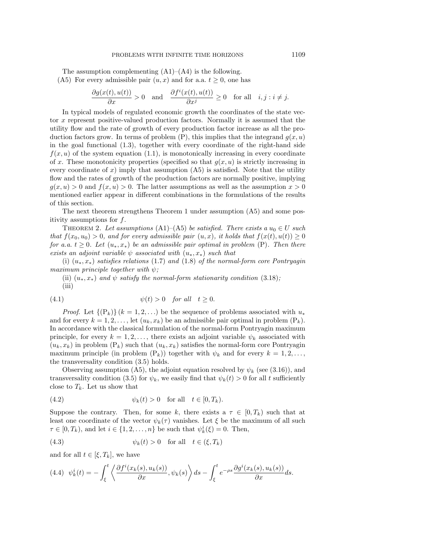The assumption complementing  $(A1)$ – $(A4)$  is the following. (A5) For every admissible pair  $(u, x)$  and for a.a.  $t \geq 0$ , one has

$$
\frac{\partial g(x(t), u(t))}{\partial x} > 0 \quad \text{and} \quad \frac{\partial f^i(x(t), u(t))}{\partial x^j} \ge 0 \quad \text{for all} \quad i, j : i \ne j.
$$

In typical models of regulated economic growth the coordinates of the state vector x represent positive-valued production factors. Normally it is assumed that the utility flow and the rate of growth of every production factor increase as all the production factors grow. In terms of problem  $(P)$ , this implies that the integrand  $g(x, u)$ in the goal functional (1.3), together with every coordinate of the right-hand side  $f(x, u)$  of the system equation (1.1), is monotonically increasing in every coordinate of x. These monotonicity properties (specified so that  $g(x, u)$  is strictly increasing in every coordinate of x) imply that assumption  $(A5)$  is satisfied. Note that the utility flow and the rates of growth of the production factors are normally positive, implying  $g(x, u) > 0$  and  $f(x, u) > 0$ . The latter assumptions as well as the assumption  $x > 0$ mentioned earlier appear in different combinations in the formulations of the results of this section.

The next theorem strengthens Theorem 1 under assumption (A5) and some positivity assumptions for f.

THEOREM 2. Let assumptions (A1)–(A5) be satisfied. There exists a  $u_0 \in U$  such that  $f(x_0, u_0) > 0$ , and for every admissible pair  $(u, x)$ , it holds that  $f(x(t), u(t)) \geq 0$ for a.a.  $t \geq 0$ . Let  $(u_*,x_*)$  be an admissible pair optimal in problem (P). Then there exists an adjoint variable  $\psi$  associated with  $(u_*,x_*)$  such that

(i)  $(u_*,x_*)$  satisfies relations (1.7) and (1.8) of the normal-form core Pontryagin maximum principle together with  $\psi$ ;

(ii)  $(u_*, x_*)$  and  $\psi$  satisfy the normal-form stationarity condition (3.18); (iii)

(4.1) 
$$
\psi(t) > 0 \quad \text{for all} \quad t \ge 0.
$$

*Proof.* Let  $\{(\mathbf{P}_k)\}(k=1,2,\ldots)$  be the sequence of problems associated with  $u_*$ and for every  $k = 1, 2, \ldots$ , let  $(u_k, x_k)$  be an admissible pair optimal in problem  $(P_k)$ . In accordance with the classical formulation of the normal-form Pontryagin maximum principle, for every  $k = 1, 2, \ldots$ , there exists an adjoint variable  $\psi_k$  associated with  $(u_k, x_k)$  in problem  $(P_k)$  such that  $(u_k, x_k)$  satisfies the normal-form core Pontryagin maximum principle (in problem  $(P_k)$ ) together with  $\psi_k$  and for every  $k = 1, 2, \ldots$ , the transversality condition (3.5) holds.

Observing assumption (A5), the adjoint equation resolved by  $\psi_k$  (see (3.16)), and transversality condition (3.5) for  $\psi_k$ , we easily find that  $\psi_k(t) > 0$  for all t sufficiently close to  $T_k$ . Let us show that

$$
(4.2) \t\t \psi_k(t) > 0 \t \text{for all} \t t \in [0, T_k).
$$

Suppose the contrary. Then, for some k, there exists a  $\tau \in [0, T_k)$  such that at least one coordinate of the vector  $\psi_k(\tau)$  vanishes. Let  $\xi$  be the maximum of all such  $\tau \in [0, T_k)$ , and let  $i \in \{1, 2, \ldots, n\}$  be such that  $\psi_k^i(\xi) = 0$ . Then,

(4.3) 
$$
\psi_k(t) > 0 \quad \text{for all} \quad t \in (\xi, T_k)
$$

and for all  $t \in [\xi, T_k]$ , we have

$$
(4.4)\ \psi_k^i(t) = -\int_{\xi}^t \left\langle \frac{\partial f^i(x_k(s), u_k(s))}{\partial x}, \psi_k(s) \right\rangle ds - \int_{\xi}^t e^{-\rho s} \frac{\partial g^i(x_k(s), u_k(s))}{\partial x} ds.
$$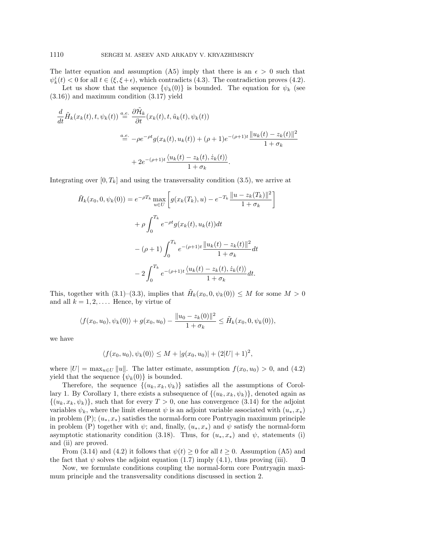The latter equation and assumption (A5) imply that there is an  $\epsilon > 0$  such that  $\psi_k^i(t) < 0$  for all  $t \in (\xi, \xi + \epsilon)$ , which contradicts (4.3). The contradiction proves (4.2).

Let us show that the sequence  $\{\psi_k(0)\}\$ is bounded. The equation for  $\psi_k$  (see (3.16)) and maximum condition (3.17) yield

$$
\frac{d}{dt}\tilde{H}_k(x_k(t),t,\psi_k(t)) \stackrel{a.e.}{=} \frac{\partial \tilde{\mathcal{H}}_k}{\partial t}(x_k(t),t,\tilde{u}_k(t),\psi_k(t))
$$
\n
$$
\stackrel{a.e.}{=} -\rho e^{-\rho t}g(x_k(t),u_k(t)) + (\rho+1)e^{-(\rho+1)t}\frac{||u_k(t)-z_k(t)||^2}{1+\sigma_k}
$$
\n
$$
+ 2e^{-(\rho+1)t}\frac{\langle u_k(t)-z_k(t),\dot{z}_k(t)\rangle}{1+\sigma_k}.
$$

Integrating over  $[0, T_k]$  and using the transversality condition (3.5), we arrive at

$$
\tilde{H}_k(x_0, 0, \psi_k(0)) = e^{-\rho T_k} \max_{u \in U} \left[ g(x_k(T_k), u) - e^{-T_k} \frac{\|u - z_k(T_k)\|^2}{1 + \sigma_k} \right]
$$

$$
+ \rho \int_0^{T_k} e^{-\rho t} g(x_k(t), u_k(t)) dt
$$

$$
- (\rho + 1) \int_0^{T_k} e^{-(\rho + 1)t} \frac{\|u_k(t) - z_k(t)\|^2}{1 + \sigma_k} dt
$$

$$
- 2 \int_0^{T_k} e^{-(\rho + 1)t} \frac{\langle u_k(t) - z_k(t), \dot{z}_k(t) \rangle}{1 + \sigma_k} dt.
$$

This, together with (3.1)–(3.3), implies that  $\tilde{H}_k(x_0, 0, \psi_k(0)) \leq M$  for some  $M > 0$ and all  $k = 1, 2, \ldots$ . Hence, by virtue of

$$
\langle f(x_0, u_0), \psi_k(0) \rangle + g(x_0, u_0) - \frac{\|u_0 - z_k(0)\|^2}{1 + \sigma_k} \leq \tilde{H}_k(x_0, 0, \psi_k(0)),
$$

we have

$$
\langle f(x_0, u_0), \psi_k(0) \rangle \le M + |g(x_0, u_0)| + (2|U| + 1)^2,
$$

where  $|U| = \max_{u \in U} ||u||$ . The latter estimate, assumption  $f(x_0, u_0) > 0$ , and (4.2) yield that the sequence  $\{\psi_k(0)\}\$ is bounded.

Therefore, the sequence  $\{(u_k, x_k, \psi_k)\}\$  satisfies all the assumptions of Corollary 1. By Corollary 1, there exists a subsequence of  $\{(u_k, x_k, \psi_k)\}\)$ , denoted again as  $\{(u_k, x_k, \psi_k)\}\$ , such that for every  $T > 0$ , one has convergence (3.14) for the adjoint variables  $\psi_k$ , where the limit element  $\psi$  is an adjoint variable associated with  $(u_*, x_*)$ in problem (P);  $(u_*, x_*)$  satisfies the normal-form core Pontryagin maximum principle in problem (P) together with  $\psi$ ; and, finally,  $(u_*, x_*)$  and  $\psi$  satisfy the normal-form asymptotic stationarity condition (3.18). Thus, for  $(u_*, x_*)$  and  $\psi$ , statements (i) and (ii) are proved.

From (3.14) and (4.2) it follows that  $\psi(t) \geq 0$  for all  $t \geq 0$ . Assumption (A5) and the fact that  $\psi$  solves the adjoint equation (1.7) imply (4.1), thus proving (iii). П

Now, we formulate conditions coupling the normal-form core Pontryagin maximum principle and the transversality conditions discussed in section 2.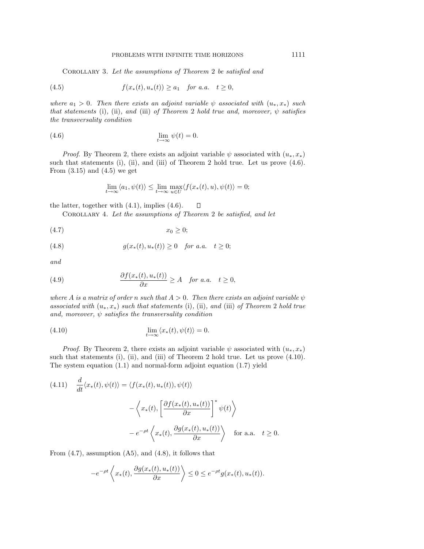COROLLARY 3. Let the assumptions of Theorem 2 be satisfied and

(4.5) 
$$
f(x_*(t), u_*(t)) \ge a_1
$$
 for a.a.  $t \ge 0$ ,

where  $a_1 > 0$ . Then there exists an adjoint variable  $\psi$  associated with  $(u_*, x_*)$  such that statements (i), (ii), and (iii) of Theorem 2 hold true and, moreover,  $\psi$  satisfies the transversality condition

(4.6) 
$$
\lim_{t \to \infty} \psi(t) = 0.
$$

*Proof.* By Theorem 2, there exists an adjoint variable  $\psi$  associated with  $(u_*, x_*)$ such that statements  $(i)$ ,  $(ii)$ , and  $(iii)$  of Theorem 2 hold true. Let us prove  $(4.6)$ . From  $(3.15)$  and  $(4.5)$  we get

$$
\lim_{t \to \infty} \langle a_1, \psi(t) \rangle \le \lim_{t \to \infty} \max_{u \in U} \langle f(x_*(t), u), \psi(t) \rangle = 0;
$$

the latter, together with (4.1), implies (4.6).  $\Box$ 

COROLLARY 4. Let the assumptions of Theorem 2 be satisfied, and let

$$
(4.7) \t\t x_0 \ge 0;
$$

(4.8) 
$$
g(x_*(t), u_*(t)) \ge 0 \text{ for a.a. } t \ge 0;
$$

and

(4.9) 
$$
\frac{\partial f(x_*(t), u_*(t))}{\partial x} \ge A \quad \text{for a.a.} \quad t \ge 0,
$$

where A is a matrix of order n such that  $A > 0$ . Then there exists an adjoint variable  $\psi$ associated with  $(u_*, x_*)$  such that statements (i), (ii), and (iii) of Theorem 2 hold true and, moreover,  $\psi$  satisfies the transversality condition

(4.10) 
$$
\lim_{t \to \infty} \langle x_*(t), \psi(t) \rangle = 0.
$$

*Proof.* By Theorem 2, there exists an adjoint variable  $\psi$  associated with  $(u_*, x_*)$ such that statements  $(i)$ ,  $(ii)$ , and  $(iii)$  of Theorem 2 hold true. Let us prove  $(4.10)$ . The system equation (1.1) and normal-form adjoint equation (1.7) yield

(4.11) 
$$
\frac{d}{dt} \langle x_*(t), \psi(t) \rangle = \langle f(x_*(t), u_*(t)), \psi(t) \rangle
$$

$$
- \left\langle x_*(t), \left[ \frac{\partial f(x_*(t), u_*(t))}{\partial x} \right]^* \psi(t) \right\rangle
$$

$$
- e^{-\rho t} \left\langle x_*(t), \frac{\partial g(x_*(t), u_*(t))}{\partial x} \right\rangle \text{ for a.a. } t \ge 0.
$$

From  $(4.7)$ , assumption  $(A5)$ , and  $(4.8)$ , it follows that

$$
-e^{-\rho t}\left\langle x_*(t),\frac{\partial g(x_*(t),u_*(t))}{\partial x}\right\rangle\leq 0\leq e^{-\rho t}g(x_*(t),u_*(t)).
$$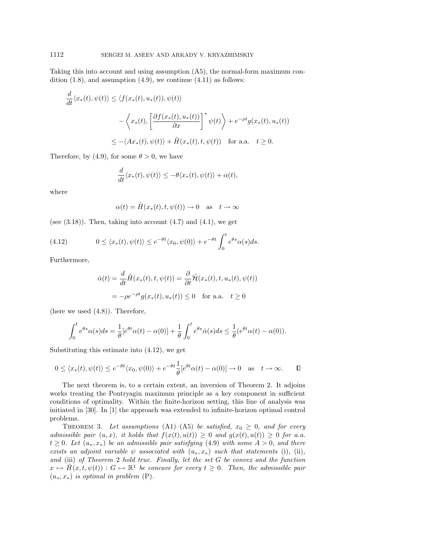Taking this into account and using assumption (A5), the normal-form maximum condition  $(1.8)$ , and assumption  $(4.9)$ , we continue  $(4.11)$  as follows:

$$
\frac{d}{dt} \langle x_*(t), \psi(t) \rangle \le \langle f(x_*(t), u_*(t)), \psi(t) \rangle
$$
  

$$
- \langle x_*(t), \left[ \frac{\partial f(x_*(t), u_*(t))}{\partial x} \right]^* \psi(t) \rangle + e^{-\rho t} g(x_*(t), u_*(t))
$$
  

$$
\le - \langle Ax_*(t), \psi(t) \rangle + \tilde{H}(x_*(t), t, \psi(t)) \quad \text{for a.a.} \quad t \ge 0.
$$

Therefore, by (4.9), for some  $\theta > 0$ , we have

$$
\frac{d}{dt}\langle x_*(t), \psi(t) \rangle \le -\theta \langle x_*(t), \psi(t) \rangle + \alpha(t),
$$

where

$$
\alpha(t) = \tilde{H}(x_*(t), t, \psi(t)) \to 0 \quad \text{as} \quad t \to \infty
$$

(see  $(3.18)$ ). Then, taking into account  $(4.7)$  and  $(4.1)$ , we get

(4.12) 
$$
0 \le \langle x_*(t), \psi(t) \rangle \le e^{-\theta t} \langle x_0, \psi(0) \rangle + e^{-\theta t} \int_0^t e^{\theta s} \alpha(s) ds.
$$

Furthermore,

$$
\dot{\alpha}(t) = \frac{d}{dt}\tilde{H}(x_*(t), t, \psi(t)) = \frac{\partial}{\partial t}\tilde{\mathcal{H}}(x_*(t), t, u_*(t), \psi(t))
$$

$$
= -\rho e^{-\rho t}g(x_*(t), u_*(t)) \le 0 \quad \text{for a.a.} \quad t \ge 0
$$

(here we used (4.8)). Therefore,

$$
\int_0^t e^{\theta s} \alpha(s) ds = \frac{1}{\theta} [e^{\theta t} \alpha(t) - \alpha(0)] + \frac{1}{\theta} \int_0^t e^{\theta s} \dot{\alpha}(s) ds \leq \frac{1}{\theta} (e^{\theta t} \alpha(t) - \alpha(0)).
$$

Substituting this estimate into (4.12), we get

$$
0 \le \langle x_*(t), \psi(t) \rangle \le e^{-\theta t} \langle x_0, \psi(0) \rangle + e^{-\theta t} \frac{1}{\theta} [e^{\theta t} \alpha(t) - \alpha(0)] \to 0 \quad \text{as} \quad t \to \infty. \qquad \Box
$$

The next theorem is, to a certain extent, an inversion of Theorem 2. It adjoins works treating the Pontryagin maximum principle as a key component in sufficient conditions of optimality. Within the finite-horizon setting, this line of analysis was initiated in [30]. In [1] the approach was extended to infinite-horizon optimal control problems.

THEOREM 3. Let assumptions  $(A1)$ – $(A5)$  be satisfied,  $x_0 \geq 0$ , and for every admissible pair  $(u, x)$ , it holds that  $f(x(t), u(t)) \geq 0$  and  $g(x(t), u(t)) \geq 0$  for a.a.  $t \geq 0$ . Let  $(u_*,x_*)$  be an admissible pair satisfying (4.9) with some  $A > 0$ , and there exists an adjoint variable  $\psi$  associated with  $(u_*, x_*)$  such that statements (i), (ii), and (iii) of Theorem 2 hold true. Finally, let the set G be convex and the function  $x \mapsto \tilde{H}(x, t, \psi(t)) : G \mapsto \mathbb{R}^1$  be concave for every  $t \geq 0$ . Then, the admissible pair  $(u_*, x_*)$  is optimal in problem  $(P)$ .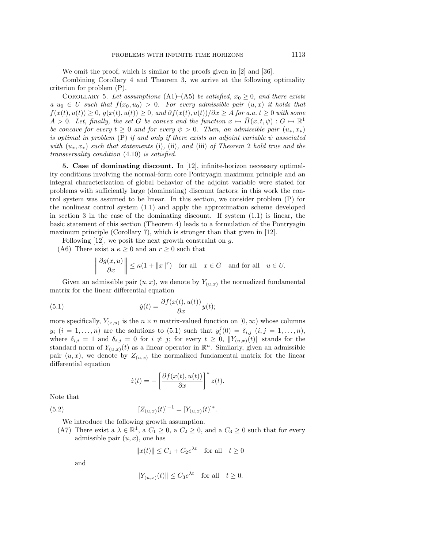We omit the proof, which is similar to the proofs given in [2] and [36].

Combining Corollary 4 and Theorem 3, we arrive at the following optimality criterion for problem (P).

COROLLARY 5. Let assumptions (A1)–(A5) be satisfied,  $x_0 \geq 0$ , and there exists  $a u_0 \in U$  such that  $f(x_0, u_0) > 0$ . For every admissible pair  $(u, x)$  it holds that  $f(x(t), u(t)) \geq 0$ ,  $g(x(t), u(t)) \geq 0$ , and  $\frac{\partial f(x(t), u(t))}{\partial x} \geq A$  for a.a.  $t \geq 0$  with some  $A > 0$ . Let, finally, the set G be convex and the function  $x \mapsto \tilde{H}(x, t, \psi) : G \mapsto \mathbb{R}^1$ be concave for every  $t \geq 0$  and for every  $\psi > 0$ . Then, an admissible pair  $(u_*, x_*)$ is optimal in problem (P) if and only if there exists an adjoint variable  $\psi$  associated with  $(u_*,x_*)$  such that statements (i), (ii), and (iii) of Theorem 2 hold true and the transversality condition (4.10) is satisfied.

**5. Case of dominating discount.** In [12], infinite-horizon necessary optimality conditions involving the normal-form core Pontryagin maximum principle and an integral characterization of global behavior of the adjoint variable were stated for problems with sufficiently large (dominating) discount factors; in this work the control system was assumed to be linear. In this section, we consider problem (P) for the nonlinear control system (1.1) and apply the approximation scheme developed in section 3 in the case of the dominating discount. If system  $(1.1)$  is linear, the basic statement of this section (Theorem 4) leads to a formulation of the Pontryagin maximum principle (Corollary 7), which is stronger than that given in [12].

Following  $[12]$ , we posit the next growth constraint on  $g$ .

(A6) There exist a  $\kappa \geq 0$  and an  $r \geq 0$  such that

$$
\left\|\frac{\partial g(x,u)}{\partial x}\right\| \le \kappa(1+\|x\|^r) \quad \text{for all} \quad x \in G \quad \text{and for all} \quad u \in U.
$$

Given an admissible pair  $(u, x)$ , we denote by  $Y_{(u, x)}$  the normalized fundamental matrix for the linear differential equation

(5.1) 
$$
\dot{y}(t) = \frac{\partial f(x(t), u(t))}{\partial x} y(t);
$$

more specifically,  $Y_{(x,u)}$  is the  $n \times n$  matrix-valued function on  $[0,\infty)$  whose columns  $y_i$   $(i = 1, ..., n)$  are the solutions to (5.1) such that  $y_i^j(0) = \delta_{i,j}$   $(i, j = 1, ..., n)$ , where  $\delta_{i,i} = 1$  and  $\delta_{i,j} = 0$  for  $i \neq j$ ; for every  $t \geq 0$ ,  $||Y_{(u,x)}(t)||$  stands for the standard norm of  $Y_{(u,x)}(t)$  as a linear operator in  $\mathbb{R}^n$ . Similarly, given an admissible pair  $(u, x)$ , we denote by  $Z_{(u, x)}$  the normalized fundamental matrix for the linear differential equation

$$
\dot{z}(t) = -\left[\frac{\partial f(x(t), u(t))}{\partial x}\right]^* z(t).
$$

Note that

(5.2) 
$$
[Z_{(u,x)}(t)]^{-1} = [Y_{(u,x)}(t)]^*.
$$

- We introduce the following growth assumption.
- (A7) There exist a  $\lambda \in \mathbb{R}^1$ , a  $C_1 \geq 0$ , a  $C_2 \geq 0$ , and a  $C_3 \geq 0$  such that for every admissible pair  $(u, x)$ , one has

$$
||x(t)|| \le C_1 + C_2 e^{\lambda t} \quad \text{for all} \quad t \ge 0
$$

and

$$
||Y_{(u,x)}(t)|| \leq C_3 e^{\lambda t} \quad \text{for all} \quad t \geq 0.
$$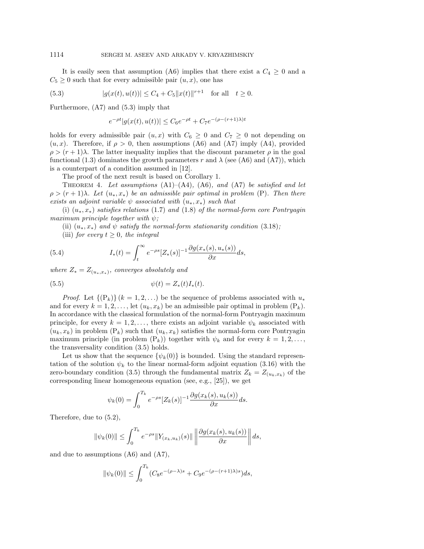It is easily seen that assumption (A6) implies that there exist a  $C_4 \geq 0$  and a  $C_5 \geq 0$  such that for every admissible pair  $(u, x)$ , one has

(5.3) 
$$
|g(x(t), u(t))| \le C_4 + C_5 ||x(t)||^{r+1} \text{ for all } t \ge 0.
$$

Furthermore, (A7) and (5.3) imply that

$$
e^{-\rho t}|g(x(t), u(t))| \le C_6 e^{-\rho t} + C_7 e^{-(\rho - (r+1)\lambda)t}
$$

holds for every admissible pair  $(u, x)$  with  $C_6 \geq 0$  and  $C_7 \geq 0$  not depending on  $(u, x)$ . Therefore, if  $\rho > 0$ , then assumptions (A6) and (A7) imply (A4), provided  $\rho > (r+1)\lambda$ . The latter inequality implies that the discount parameter  $\rho$  in the goal functional (1.3) dominates the growth parameters r and  $\lambda$  (see (A6) and (A7)), which is a counterpart of a condition assumed in [12].

The proof of the next result is based on Corollary 1.

THEOREM 4. Let assumptions  $(A1)$ – $(A4)$ ,  $(A6)$ , and  $(A7)$  be satisfied and let  $\rho > (r+1)\lambda$ . Let  $(u_*,x_*)$  be an admissible pair optimal in problem (P). Then there exists an adjoint variable  $\psi$  associated with  $(u_*,x_*)$  such that

(i)  $(u_*,x_*)$  satisfies relations (1.7) and (1.8) of the normal-form core Pontryagin maximum principle together with  $\psi$ ;

(ii)  $(u_*, x_*)$  and  $\psi$  satisfy the normal-form stationarity condition (3.18);

(iii) for every  $t \geq 0$ , the integral

(5.4) 
$$
I_*(t) = \int_t^{\infty} e^{-\rho s} [Z_*(s)]^{-1} \frac{\partial g(x_*(s), u_*(s))}{\partial x} ds,
$$

where  $Z_* = Z_{(u_*,x_*)}$ , converges absolutely and

(5.5) 
$$
\psi(t) = Z_*(t)I_*(t).
$$

*Proof.* Let  $\{(\mathcal{P}_k)\}\ (k=1,2,\ldots)$  be the sequence of problems associated with  $u_*$ and for every  $k = 1, 2, \ldots$ , let  $(u_k, x_k)$  be an admissible pair optimal in problem  $(P_k)$ . In accordance with the classical formulation of the normal-form Pontryagin maximum principle, for every  $k = 1, 2, \ldots$ , there exists an adjoint variable  $\psi_k$  associated with  $(u_k, x_k)$  in problem  $(P_k)$  such that  $(u_k, x_k)$  satisfies the normal-form core Pontryagin maximum principle (in problem  $(P_k)$ ) together with  $\psi_k$  and for every  $k = 1, 2, \ldots$ , the transversality condition (3.5) holds.

Let us show that the sequence  $\{\psi_k(0)\}\$ is bounded. Using the standard representation of the solution  $\psi_k$  to the linear normal-form adjoint equation (3.16) with the zero-boundary condition (3.5) through the fundamental matrix  $Z_k = Z_{(u_k,x_k)}$  of the corresponding linear homogeneous equation (see, e.g., [25]), we get

$$
\psi_k(0) = \int_0^{T_k} e^{-\rho s} [Z_k(s)]^{-1} \frac{\partial g(x_k(s), u_k(s))}{\partial x} ds.
$$

Therefore, due to (5.2),

$$
\|\psi_k(0)\| \le \int_0^{T_k} e^{-\rho s} \|Y_{(x_k, u_k)}(s)\| \left\|\frac{\partial g(x_k(s), u_k(s))}{\partial x}\right\| ds,
$$

and due to assumptions (A6) and (A7),

$$
\|\psi_k(0)\| \le \int_0^{T_k} (C_8 e^{-(\rho - \lambda)s} + C_9 e^{-(\rho - (r+1)\lambda)s}) ds,
$$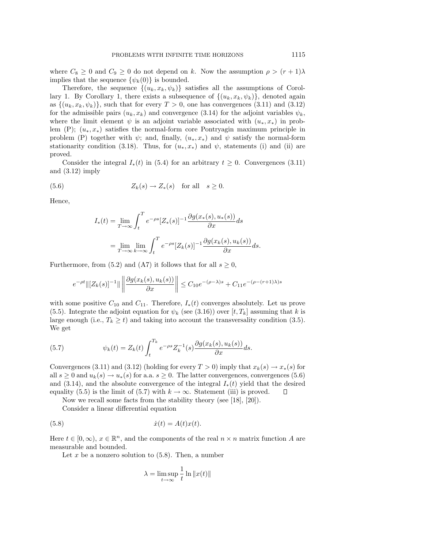where  $C_8 \geq 0$  and  $C_9 \geq 0$  do not depend on k. Now the assumption  $\rho > (r+1)\lambda$ implies that the sequence  $\{\psi_k(0)\}\$ is bounded.

Therefore, the sequence  $\{(u_k, x_k, \psi_k)\}\$  satisfies all the assumptions of Corollary 1. By Corollary 1, there exists a subsequence of  $\{(u_k, x_k, \psi_k)\}\)$ , denoted again as  $\{(u_k, x_k, \psi_k)\}\$ , such that for every  $T > 0$ , one has convergences (3.11) and (3.12) for the admissible pairs  $(u_k, x_k)$  and convergence (3.14) for the adjoint variables  $\psi_k$ , where the limit element  $\psi$  is an adjoint variable associated with  $(u_*,x_*)$  in problem (P);  $(u_*, x_*)$  satisfies the normal-form core Pontryagin maximum principle in problem (P) together with  $\psi$ ; and, finally,  $(u_*,x_*)$  and  $\psi$  satisfy the normal-form stationarity condition (3.18). Thus, for  $(u_*,x_*)$  and  $\psi$ , statements (i) and (ii) are proved.

Consider the integral  $I_*(t)$  in (5.4) for an arbitrary  $t \geq 0$ . Convergences (3.11) and (3.12) imply

(5.6) 
$$
Z_k(s) \to Z_*(s) \quad \text{for all} \quad s \ge 0.
$$

Hence,

$$
I_*(t) = \lim_{T \to \infty} \int_t^T e^{-\rho s} [Z_*(s)]^{-1} \frac{\partial g(x_*(s), u_*(s))}{\partial x} ds
$$
  
= 
$$
\lim_{T \to \infty} \lim_{k \to \infty} \int_t^T e^{-\rho s} [Z_k(s)]^{-1} \frac{\partial g(x_k(s), u_k(s))}{\partial x} ds.
$$

Furthermore, from (5.2) and (A7) it follows that for all  $s \geq 0$ ,

$$
e^{-\rho t} \|[Z_k(s)]^{-1}\| \left\| \frac{\partial g(x_k(s), u_k(s))}{\partial x} \right\| \le C_{10} e^{-(\rho - \lambda)s} + C_{11} e^{-(\rho - (r+1)\lambda)s}
$$

with some positive  $C_{10}$  and  $C_{11}$ . Therefore,  $I_*(t)$  converges absolutely. Let us prove (5.5). Integrate the adjoint equation for  $\psi_k$  (see (3.16)) over [t, T<sub>k</sub>] assuming that k is large enough (i.e.,  $T_k \geq t$ ) and taking into account the transversality condition (3.5). We get

(5.7) 
$$
\psi_k(t) = Z_k(t) \int_t^{T_k} e^{-\rho s} Z_k^{-1}(s) \frac{\partial g(x_k(s), u_k(s))}{\partial x} ds.
$$

Convergences (3.11) and (3.12) (holding for every  $T > 0$ ) imply that  $x_k(s) \to x_*(s)$  for all  $s > 0$  and  $u_k(s) \to u_*(s)$  for a.a.  $s > 0$ . The latter convergences, convergences (5.6) and (3.14), and the absolute convergence of the integral  $I_*(t)$  yield that the desired equality (5.5) is the limit of (5.7) with  $k \to \infty$ . Statement (iii) is proved.  $\square$ equality (5.5) is the limit of (5.7) with  $k \to \infty$ . Statement (iii) is proved.

Now we recall some facts from the stability theory (see [18], [20]).

Consider a linear differential equation

$$
(5.8) \qquad \qquad \dot{x}(t) = A(t)x(t).
$$

Here  $t \in [0,\infty)$ ,  $x \in \mathbb{R}^n$ , and the components of the real  $n \times n$  matrix function A are measurable and bounded.

Let x be a nonzero solution to  $(5.8)$ . Then, a number

$$
\lambda = \limsup_{t \to \infty} \frac{1}{t} \ln \|x(t)\|
$$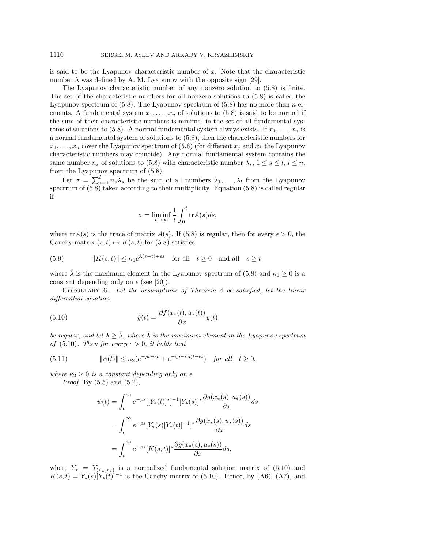is said to be the Lyapunov characteristic number of  $x$ . Note that the characteristic number  $\lambda$  was defined by A. M. Lyapunov with the opposite sign [29].

The Lyapunov characteristic number of any nonzero solution to (5.8) is finite. The set of the characteristic numbers for all nonzero solutions to (5.8) is called the Lyapunov spectrum of  $(5.8)$ . The Lyapunov spectrum of  $(5.8)$  has no more than n elements. A fundamental system  $x_1, \ldots, x_n$  of solutions to (5.8) is said to be normal if the sum of their characteristic numbers is minimal in the set of all fundamental systems of solutions to (5.8). A normal fundamental system always exists. If  $x_1, \ldots, x_n$  is a normal fundamental system of solutions to (5.8), then the characteristic numbers for  $x_1,\ldots,x_n$  cover the Lyapunov spectrum of (5.8) (for different  $x_j$  and  $x_k$  the Lyapunov characteristic numbers may coincide). Any normal fundamental system contains the same number  $n_s$  of solutions to (5.8) with characteristic number  $\lambda_s$ ,  $1 \leq s \leq l$ ,  $l \leq n$ , from the Lyapunov spectrum of (5.8).

Let  $\sigma = \sum_{s=1}^{l} n_s \lambda_s$  be the sum of all numbers  $\lambda_1, \ldots, \lambda_l$  from the Lyapunov spectrum of  $(5.8)$  taken according to their multiplicity. Equation  $(5.8)$  is called regular if

$$
\sigma = \liminf_{t \to \infty} \frac{1}{t} \int_0^t \text{tr}A(s)ds,
$$

where  $trA(s)$  is the trace of matrix  $A(s)$ . If (5.8) is regular, then for every  $\epsilon > 0$ , the Cauchy matrix  $(s, t) \mapsto K(s, t)$  for  $(5.8)$  satisfies

(5.9) 
$$
||K(s,t)|| \leq \kappa_1 e^{\bar{\lambda}(s-t)+\epsilon s} \quad \text{for all} \quad t \geq 0 \quad \text{and all} \quad s \geq t,
$$

where  $\bar{\lambda}$  is the maximum element in the Lyapunov spectrum of (5.8) and  $\kappa_1 \geq 0$  is a constant depending only on  $\epsilon$  (see [20]).

Corollary 6. Let the assumptions of Theorem 4 be satisfied, let the linear differential equation

(5.10) 
$$
\dot{y}(t) = \frac{\partial f(x_*(t), u_*(t))}{\partial x} y(t)
$$

be regular, and let  $\lambda \geq \overline{\lambda}$ , where  $\overline{\lambda}$  is the maximum element in the Lyapunov spectrum of (5.10). Then for every  $\epsilon > 0$ , it holds that

(5.11) 
$$
\|\psi(t)\| \le \kappa_2(e^{-\rho t + \epsilon t} + e^{-(\rho - r\lambda)t + \epsilon t}) \quad \text{for all} \quad t \ge 0,
$$

where  $\kappa_2 \geq 0$  is a constant depending only on  $\epsilon$ .

*Proof.* By  $(5.5)$  and  $(5.2)$ ,

$$
\psi(t) = \int_t^{\infty} e^{-\rho s} \left[ \left[ Y_*(t) \right]^* \right]^{-1} \left[ Y_*(s) \right]^* \frac{\partial g(x_*(s), u_*(s))}{\partial x} ds
$$
  

$$
= \int_t^{\infty} e^{-\rho s} \left[ Y_*(s) \left[ Y_*(t) \right]^{-1} \right]^* \frac{\partial g(x_*(s), u_*(s))}{\partial x} ds
$$
  

$$
= \int_t^{\infty} e^{-\rho s} \left[ K(s, t) \right]^* \frac{\partial g(x_*(s), u_*(s))}{\partial x} ds,
$$

where  $Y_* = Y_{(u_*,x_*)}$  is a normalized fundamental solution matrix of (5.10) and  $K(s,t) = Y_*(s)[Y_*(t)]^{-1}$  is the Cauchy matrix of (5.10). Hence, by (A6), (A7), and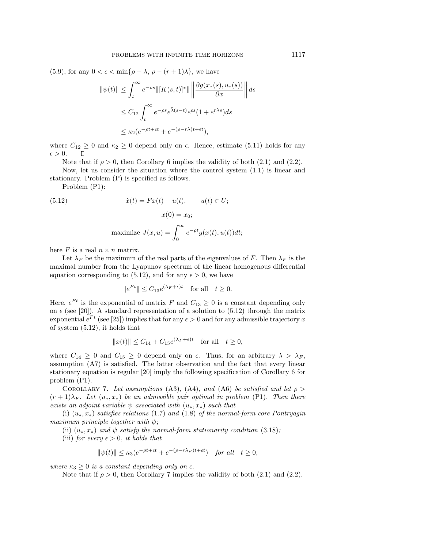(5.9), for any  $0 < \epsilon < \min\{\rho - \lambda, \rho - (r + 1)\lambda\}$ , we have

$$
\|\psi(t)\| \le \int_t^\infty e^{-\rho s} \|[K(s,t)]^* \|\left\| \frac{\partial g(x_*(s), u_*(s))}{\partial x} \right\| ds
$$
  

$$
\le C_{12} \int_t^\infty e^{-\rho s} e^{\bar{\lambda}(s-t)} e^{\epsilon s} (1 + e^{r\lambda s}) ds
$$
  

$$
\le \kappa_2 (e^{-\rho t + \epsilon t} + e^{-(\rho - r\lambda)t + \epsilon t}),
$$

where  $C_{12} \ge 0$  and  $\kappa_2 \ge 0$  depend only on  $\epsilon$ . Hence, estimate (5.11) holds for any  $\epsilon > 0$ .  $\Box$ 

Note that if  $\rho > 0$ , then Corollary 6 implies the validity of both (2.1) and (2.2).

Now, let us consider the situation where the control system (1.1) is linear and stationary. Problem (P) is specified as follows.

Problem (P1):

(5.12) 
$$
\dot{x}(t) = Fx(t) + u(t), \qquad u(t) \in U;
$$

$$
x(0) = x_0;
$$

$$
\text{maximize } J(x, u) = \int_0^\infty e^{-\rho t} g(x(t), u(t)) dt;
$$

here F is a real  $n \times n$  matrix.

Let  $\lambda_F$  be the maximum of the real parts of the eigenvalues of F. Then  $\lambda_F$  is the maximal number from the Lyapunov spectrum of the linear homogenous differential equation corresponding to (5.12), and for any  $\epsilon > 0$ , we have

$$
||e^{Ft}|| \leq C_{13}e^{(\lambda_F + \epsilon)t} \quad \text{for all} \quad t \geq 0.
$$

Here,  $e^{Ft}$  is the exponential of matrix F and  $C_{13} \geq 0$  is a constant depending only on  $\epsilon$  (see [20]). A standard representation of a solution to (5.12) through the matrix exponential  $e^{Ft}$  (see [25]) implies that for any  $\epsilon > 0$  and for any admissible trajectory x of system (5.12), it holds that

$$
||x(t)|| \le C_{14} + C_{15}e^{(\lambda_F + \epsilon)t} \quad \text{for all} \quad t \ge 0,
$$

where  $C_{14} \geq 0$  and  $C_{15} \geq 0$  depend only on  $\epsilon$ . Thus, for an arbitrary  $\lambda > \lambda_F$ , assumption (A7) is satisfied. The latter observation and the fact that every linear stationary equation is regular [20] imply the following specification of Corollary 6 for problem (P1).

COROLLARY 7. Let assumptions (A3), (A4), and (A6) be satisfied and let  $\rho >$  $(r+1)\lambda_F$ . Let  $(u_*,x_*)$  be an admissible pair optimal in problem (P1). Then there exists an adjoint variable  $\psi$  associated with  $(u_*,x_*)$  such that

(i)  $(u_*,x_*)$  satisfies relations (1.7) and (1.8) of the normal-form core Pontryagin maximum principle together with  $\psi$ ;

(ii)  $(u_*, x_*)$  and  $\psi$  satisfy the normal-form stationarity condition (3.18);

(iii) for every  $\epsilon > 0$ , it holds that

$$
\|\psi(t)\| \le \kappa_3(e^{-\rho t + \epsilon t} + e^{-(\rho - r\lambda_F)t + \epsilon t}) \quad \text{for all} \quad t \ge 0,
$$

where  $\kappa_3 \geq 0$  is a constant depending only on  $\epsilon$ .

Note that if  $\rho > 0$ , then Corollary 7 implies the validity of both (2.1) and (2.2).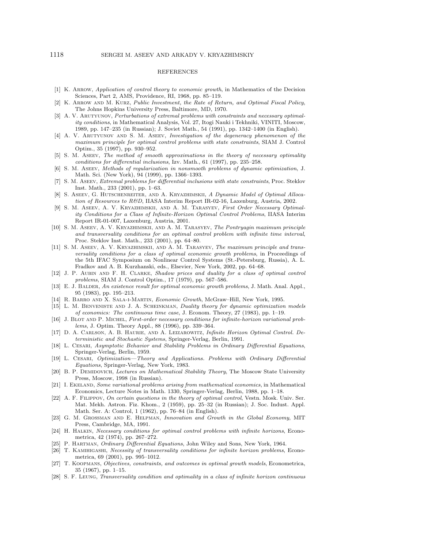#### REFERENCES

- [1] K. Arrow, Application of control theory to economic growth, in Mathematics of the Decision Sciences, Part 2, AMS, Providence, RI, 1968, pp. 85–119.
- [2] K. Arrow and M. Kurz, Public Investment, the Rate of Return, and Optimal Fiscal Policy, The Johns Hopkins University Press, Baltimore, MD, 1970.
- [3] A. V. ARUTYUNOV, *Perturbations of extremal problems with constraints and necessary optimal*ity conditions, in Mathematical Analysis, Vol. 27, Itogi Nauki i Tekhniki, VINITI, Moscow, 1989, pp. 147–235 (in Russian); J. Soviet Math., 54 (1991), pp. 1342–1400 (in English).
- [4] A. V. ARUTYUNOV AND S. M. ASEEV, *Investigation of the degeneracy phenomenon of the* maximum principle for optimal control problems with state constraints, SIAM J. Control Optim., 35 (1997), pp. 930–952.
- [5] S. M. Aseev, The method of smooth approximations in the theory of necessary optimality conditions for differential inclusions, Izv. Math., 61 (1997), pp. 235–258.
- [6] S. M. Aseev, Methods of regularization in nonsmooth problems of dynamic optimization, J. Math. Sci. (New York), 94 (1999), pp. 1366–1393.
- [7] S. M. Aseev, Extremal problems for differential inclusions with state constraints, Proc. Steklov Inst. Math., 233 (2001), pp. 1–63.
- [8] S. ASEEV, G. HUTSCHENREITER, AND A. KRYAZHIMSKII, A Dynamic Model of Optimal Allocation of Resources to R&D, IIASA Interim Report IR-02-16, Laxenburg, Austria, 2002.
- [9] S. M. Aseev, A. V. Kryazhimskii, and A. M. Tarasyev, First Order Necessary Optimality Conditions for a Class of Infinite-Horizon Optimal Control Problems, IIASA Interim Report IR-01-007, Laxenburg, Austria, 2001.
- [10] S. M. Aseev, A. V. Kryazhimskii, and A. M. Tarasyev, The Pontryagin maximum principle and transversality conditions for an optimal control problem with infinite time interval, Proc. Steklov Inst. Math., 233 (2001), pp. 64–80.
- [11] S. M. ASEEV, A. V. KRYAZHIMSKII, AND A. M. TARASYEV, The maximum principle and transversality conditions for a class of optimal economic growth problems, in Proceedings of the 5th IFAC Symposium on Nonlinear Control Systems (St.-Petersburg, Russia), A. L. Fradkov and A. B. Kurzhanski, eds., Elsevier, New York, 2002, pp. 64–68.
- [12] J. P. Aubin and F. H. Clarke, Shadow prices and duality for a class of optimal control problems, SIAM J. Control Optim., 17 (1979), pp. 567–586.
- [13] E. J. BALDER, An existence result for optimal economic growth problems, J. Math. Anal. Appl., 95 (1983), pp. 195–213.
- [14] R. Barro and X. Sala-i-Martin, Economic Growth, McGraw–Hill, New York, 1995.
- [15] L. M. Benveniste and J. A. Scheinkman, Duality theory for dynamic optimization models of economics: The continuous time case, J. Econom. Theory, 27 (1983), pp. 1–19.
- [16] J. BLOT AND P. MICHEL, First-order necessary conditions for infinite-horizon variational problems, J. Optim. Theory Appl., 88 (1996), pp. 339–364.
- [17] D. A. Carlson, A. B. Haurie, and A. Leizarowitz, Infinite Horizon Optimal Control. Deterministic and Stochastic Systems, Springer-Verlag, Berlin, 1991.
- [18] L. CESARI, Asymptotic Behavior and Stability Problems in Ordinary Differential Equations, Springer-Verlag, Berlin, 1959.
- [19] L. Cesari, Optimization—Theory and Applications. Problems with Ordinary Differential Equations, Springer-Verlag, New York, 1983.
- [20] B. P. DEMIDOVICH, Lectures on Mathematical Stability Theory, The Moscow State University Press, Moscow, 1998 (in Russian).
- [21] I. EKELAND, Some variational problems arising from mathematical economics, in Mathematical Economics, Lecture Notes in Math. 1330, Springer-Verlag, Berlin, 1988, pp. 1–18.
- [22] A. F. Filippov, On certain questions in the theory of optimal control, Vestn. Mosk. Univ. Ser. Mat. Mekh. Astron. Fiz. Khom., 2 (1959), pp. 25–32 (in Russian); J. Soc. Indust. Appl. Math. Ser. A: Control, 1 (1962), pp. 76–84 (in English).
- [23] G. M. Grossman and E. Helpman, Innovation and Growth in the Global Economy, MIT Press, Cambridge, MA, 1991.
- [24] H. Halkin, Necessary conditions for optimal control problems with infinite horizons, Econometrica, 42 (1974), pp. 267–272.
- [25] P. Hartman, Ordinary Differential Equations, John Wiley and Sons, New York, 1964.
- [26] T. KAMIHIGASHI, Necessity of transversality conditions for infinite horizon problems, Econometrica, 69 (2001), pp. 995–1012.
- [27] T. Koopmans, Objectives, constraints, and outcomes in optimal growth models, Econometrica, 35 (1967), pp. 1–15.
- [28] S. F. Leung, Transversality condition and optimality in a class of infinite horizon continuous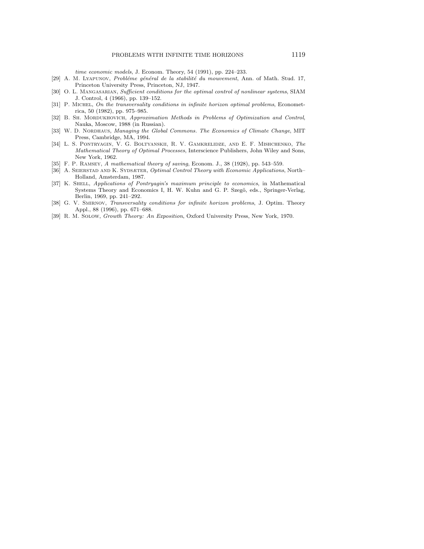time economic models, J. Econom. Theory, 54 (1991), pp. 224–233.

- [29] A. M. Lyapunov, Probléme général de la stabilité du mouvement, Ann. of Math. Stud. 17, Princeton University Press, Princeton, NJ, 1947.
- [30] O. L. MANGASARIAN, Sufficient conditions for the optimal control of nonlinear systems, SIAM J. Control, 4 (1966), pp. 139–152.
- [31] P. MICHEL, On the transversality conditions in infinite horizon optimal problems, Econometrica, 50 (1982), pp. 975–985.
- [32] B. SH. MORDUKHOVICH, Approximation Methods in Problems of Optimization and Control, Nauka, Moscow, 1988 (in Russian).
- [33] W. D. NORDHAUS, Managing the Global Commons. The Economics of Climate Change, MIT Press, Cambridge, MA, 1994.
- [34] L. S. Pontryagin, V. G. Boltyanskii, R. V. Gamkrelidze, and E. F. Mishchenko, The Mathematical Theory of Optimal Processes, Interscience Publishers, John Wiley and Sons, New York, 1962.
- [35] F. P. RAMSEY, A mathematical theory of saving, Econom. J., 38 (1928), pp. 543-559.
- [36] A. SEIERSTAD AND K. SYDSÆTER, Optimal Control Theory with Economic Applications, North– Holland, Amsterdam, 1987.
- [37] K. SHELL, Applications of Pontryagin's maximum principle to economics, in Mathematical Systems Theory and Economics I, H. W. Kuhn and G. P. Szegö, eds., Springer-Verlag, Berlin, 1969, pp. 241–292.
- [38] G. V. SMIRNOV, *Transversality conditions for infinite horizon problems*, J. Optim. Theory Appl., 88 (1996), pp. 671–688.
- [39] R. M. Solow, Growth Theory: An Exposition, Oxford University Press, New York, 1970.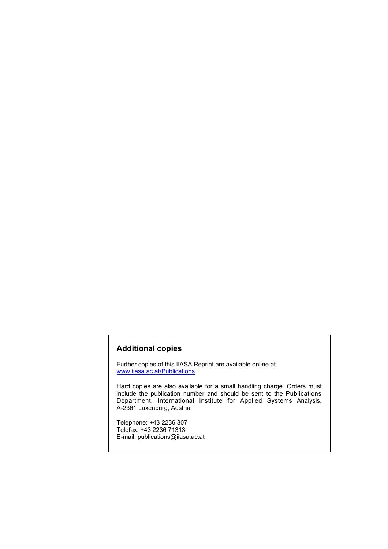### **Additional copies**

Further copies of this IIASA Reprint are available online at www.iiasa.ac.at/Publications

Hard copies are also available for a small handling charge. Orders must include the publication number and should be sent to the Publications Department, International Institute for Applied Systems Analysis, A-2361 Laxenburg, Austria.

Telephone: +43 2236 807 Telefax: +43 2236 71313 E-mail: publications@iiasa.ac.at